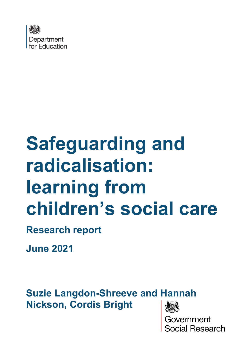

# **Safeguarding and radicalisation: learning from children's social care**

**Research report**

**June 2021**

**Suzie Langdon-Shreeve and Hannah Nickson, Cordis Bright** 

> vernment cial Research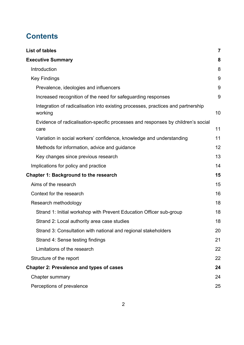# **Contents**

| <b>List of tables</b>                                                                       | $\overline{7}$ |
|---------------------------------------------------------------------------------------------|----------------|
| <b>Executive Summary</b>                                                                    | 8              |
| Introduction                                                                                | 8              |
| <b>Key Findings</b>                                                                         | 9              |
| Prevalence, ideologies and influencers                                                      | 9              |
| Increased recognition of the need for safeguarding responses                                | 9              |
| Integration of radicalisation into existing processes, practices and partnership<br>working | 10             |
| Evidence of radicalisation-specific processes and responses by children's social<br>care    | 11             |
| Variation in social workers' confidence, knowledge and understanding                        | 11             |
| Methods for information, advice and guidance                                                | 12             |
| Key changes since previous research                                                         | 13             |
| Implications for policy and practice                                                        | 14             |
| <b>Chapter 1: Background to the research</b>                                                | 15             |
| Aims of the research                                                                        | 15             |
| Context for the research                                                                    | 16             |
| Research methodology                                                                        | 18             |
| Strand 1: Initial workshop with Prevent Education Officer sub-group                         | 18             |
| Strand 2: Local authority area case studies                                                 | 18             |
| Strand 3: Consultation with national and regional stakeholders                              | 20             |
| Strand 4: Sense testing findings                                                            | 21             |
| Limitations of the research                                                                 | 22             |
| Structure of the report                                                                     | 22             |
| <b>Chapter 2: Prevalence and types of cases</b>                                             | 24             |
| <b>Chapter summary</b>                                                                      | 24             |
| Perceptions of prevalence                                                                   | 25             |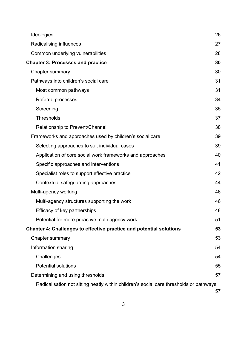| Ideologies                                                                             | 26 |
|----------------------------------------------------------------------------------------|----|
| Radicalising influences                                                                | 27 |
| Common underlying vulnerabilities                                                      | 28 |
| <b>Chapter 3: Processes and practice</b>                                               | 30 |
| Chapter summary                                                                        | 30 |
| Pathways into children's social care                                                   | 31 |
| Most common pathways                                                                   | 31 |
| Referral processes                                                                     | 34 |
| Screening                                                                              | 35 |
| <b>Thresholds</b>                                                                      | 37 |
| Relationship to Prevent/Channel                                                        | 38 |
| Frameworks and approaches used by children's social care                               | 39 |
| Selecting approaches to suit individual cases                                          | 39 |
| Application of core social work frameworks and approaches                              | 40 |
| Specific approaches and interventions                                                  | 41 |
| Specialist roles to support effective practice                                         | 42 |
| Contextual safeguarding approaches                                                     | 44 |
| Multi-agency working                                                                   | 46 |
| Multi-agency structures supporting the work                                            | 46 |
| Efficacy of key partnerships                                                           | 48 |
| Potential for more proactive multi-agency work                                         | 51 |
| Chapter 4: Challenges to effective practice and potential solutions                    | 53 |
| <b>Chapter summary</b>                                                                 | 53 |
| Information sharing                                                                    | 54 |
| Challenges                                                                             | 54 |
| <b>Potential solutions</b>                                                             | 55 |
| Determining and using thresholds                                                       | 57 |
| Radicalisation not sitting neatly within children's social care thresholds or pathways |    |
|                                                                                        | 57 |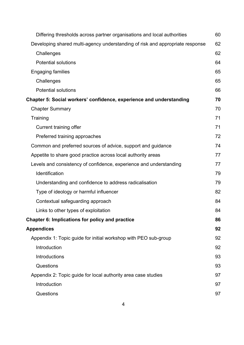| Differing thresholds across partner organisations and local authorities       | 60 |
|-------------------------------------------------------------------------------|----|
| Developing shared multi-agency understanding of risk and appropriate response | 62 |
| Challenges                                                                    | 62 |
| <b>Potential solutions</b>                                                    | 64 |
| <b>Engaging families</b>                                                      | 65 |
| Challenges                                                                    | 65 |
| <b>Potential solutions</b>                                                    | 66 |
| Chapter 5: Social workers' confidence, experience and understanding           | 70 |
| <b>Chapter Summary</b>                                                        | 70 |
| Training                                                                      | 71 |
| Current training offer                                                        | 71 |
| Preferred training approaches                                                 | 72 |
| Common and preferred sources of advice, support and guidance                  | 74 |
| Appetite to share good practice across local authority areas                  | 77 |
| Levels and consistency of confidence, experience and understanding            | 77 |
| Identification                                                                | 79 |
| Understanding and confidence to address radicalisation                        | 79 |
| Type of ideology or harmful influencer                                        | 82 |
| Contextual safeguarding approach                                              | 84 |
| Links to other types of exploitation                                          | 84 |
| Chapter 6: Implications for policy and practice                               | 86 |
| <b>Appendices</b>                                                             | 92 |
| Appendix 1: Topic guide for initial workshop with PEO sub-group               | 92 |
| Introduction                                                                  | 92 |
| Introductions                                                                 | 93 |
| Questions                                                                     | 93 |
| Appendix 2: Topic guide for local authority area case studies                 | 97 |
| Introduction                                                                  | 97 |
| Questions                                                                     | 97 |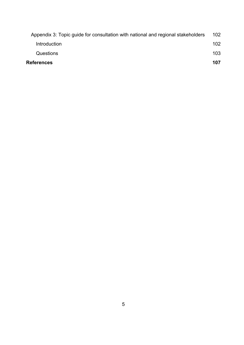| <b>References</b>                                                                | 107 |
|----------------------------------------------------------------------------------|-----|
| Questions                                                                        | 103 |
| <b>Introduction</b>                                                              | 102 |
| Appendix 3: Topic quide for consultation with national and regional stakeholders | 102 |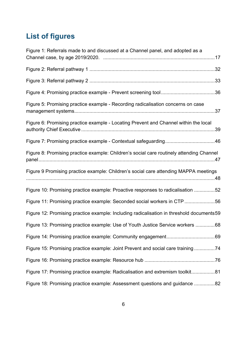# **List of figures**

| Figure 1: Referrals made to and discussed at a Channel panel, and adopted as a            |  |
|-------------------------------------------------------------------------------------------|--|
|                                                                                           |  |
|                                                                                           |  |
|                                                                                           |  |
| Figure 5: Promising practice example - Recording radicalisation concerns on case          |  |
| Figure 6: Promising practice example - Locating Prevent and Channel within the local      |  |
| Figure 7: Promising practice example - Contextual safeguarding46                          |  |
| Figure 8: Promising practice example: Children's social care routinely attending Channel  |  |
| Figure 9 Promising practice example: Children's social care attending MAPPA meetings      |  |
| Figure 10: Promising practice example: Proactive responses to radicalisation 52           |  |
| Figure 11: Promising practice example: Seconded social workers in CTP 56                  |  |
| Figure 12: Promising practice example: Including radicalisation in threshold documents 59 |  |
| Figure 13: Promising practice example: Use of Youth Justice Service workers 68            |  |
|                                                                                           |  |
| Figure 15: Promising practice example: Joint Prevent and social care training74           |  |
|                                                                                           |  |
| Figure 17: Promising practice example: Radicalisation and extremism toolkit81             |  |
| Figure 18: Promising practice example: Assessment questions and guidance 82               |  |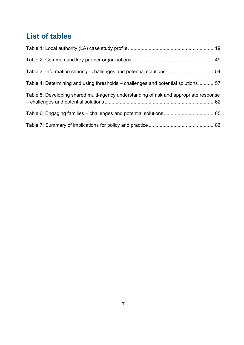# <span id="page-6-0"></span>**List of tables**

| Table 3: Information sharing - challenges and potential solutions 54                   |  |
|----------------------------------------------------------------------------------------|--|
| Table 4: Determining and using thresholds – challenges and potential solutions57       |  |
| Table 5: Developing shared multi-agency understanding of risk and appropriate response |  |
|                                                                                        |  |
|                                                                                        |  |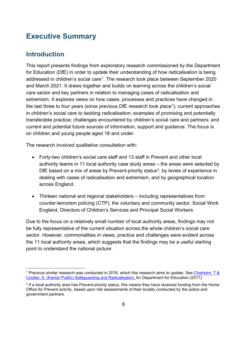# <span id="page-7-0"></span>**Executive Summary**

## <span id="page-7-1"></span>**Introduction**

This report presents findings from exploratory research commissioned by the Department for Education (DfE) in order to update their understanding of how radicalisation is being addressed in children's social care<sup>[1](#page-7-2)</sup>. The research took place between September 2020 and March 2021. It draws together and builds on learning across the children's social care sector and key partners in relation to managing cases of radicalisation and extremism. It explores views on how cases, processes and practices have changed in the last three to four vears (since previous DfE research took place<sup>1</sup>); current approaches in children's social care to tackling radicalisation; examples of promising and potentially transferable practice; challenges encountered by children's social care and partners; and current and potential future sources of information, support and guidance. The focus is on children and young people aged 18 and under.

The research involved qualitative consultation with:

- Forty-two children's social care staff and 13 staff in Prevent and other local authority teams in 11 local authority case study areas – the areas were selected by DfE based on a mix of areas by Prevent-priority status<sup>[2](#page-7-3)</sup>, by levels of experience in dealing with cases of radicalisation and extremism, and by geographical location across England.
- Thirteen national and regional stakeholders including representatives from counter-terrorism policing (CTP), the voluntary and community sector, Social Work England, Directors of Children's Services and Principal Social Workers.

Due to the focus on a relatively small number of local authority areas, findings may not be fully representative of the current situation across the whole children's social care sector. However, commonalities in views, practice and challenges were evident across the 11 local authority areas, which suggests that the findings may be a useful starting point to understand the national picture.

<span id="page-7-2"></span><sup>1</sup> Previous similar research was conducted in 2016, which this research aims to update. See [Chisholm, T](https://assets.publishing.service.gov.uk/government/uploads/system/uploads/attachment_data/file/635262/Safeguarding_and_Radicalisation.pdf) & [Coulter, A. \(Kantar Public\) Safeguarding and Radicalisation, f](https://assets.publishing.service.gov.uk/government/uploads/system/uploads/attachment_data/file/635262/Safeguarding_and_Radicalisation.pdf)or Department for Education (2017).

<span id="page-7-3"></span><sup>&</sup>lt;sup>2</sup> If a local authority area has Prevent-priority status, this means they have received funding from the Home Office for Prevent activity, based upon risk assessments of their locality conducted by the police and government partners.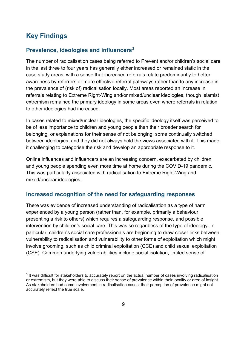# <span id="page-8-0"></span>**Key Findings**

#### <span id="page-8-1"></span>**Prevalence, ideologies and influencers[3](#page-8-3)**

The number of radicalisation cases being referred to Prevent and/or children's social care in the last three to four years has generally either increased or remained static in the case study areas, with a sense that increased referrals relate predominantly to better awareness by referrers or more effective referral pathways rather than to any increase in the prevalence of (risk of) radicalisation locally. Most areas reported an increase in referrals relating to Extreme Right-Wing and/or mixed/unclear ideologies, though Islamist extremism remained the primary ideology in some areas even where referrals in relation to other ideologies had increased.

In cases related to mixed/unclear ideologies, the specific ideology itself was perceived to be of less importance to children and young people than their broader search for belonging, or explanations for their sense of not belonging; some continually switched between ideologies, and they did not always hold the views associated with it. This made it challenging to categorise the risk and develop an appropriate response to it.

Online influences and influencers are an increasing concern, exacerbated by children and young people spending even more time at home during the COVID-19 pandemic. This was particularly associated with radicalisation to Extreme Right-Wing and mixed/unclear ideologies.

#### <span id="page-8-2"></span>**Increased recognition of the need for safeguarding responses**

There was evidence of increased understanding of radicalisation as a type of harm experienced by a young person (rather than, for example, primarily a behaviour presenting a risk to others) which requires a safeguarding response, and possible intervention by children's social care. This was so regardless of the type of ideology. In particular, children's social care professionals are beginning to draw closer links between vulnerability to radicalisation and vulnerability to other forms of exploitation which might involve grooming, such as child criminal exploitation (CCE) and child sexual exploitation (CSE). Common underlying vulnerabilities include social isolation, limited sense of

<span id="page-8-3"></span><sup>&</sup>lt;sup>3</sup> It was difficult for stakeholders to accurately report on the actual number of cases involving radicalisation or extremism, but they were able to discuss their sense of prevalence within their locality or area of insight. As stakeholders had some involvement in radicalisation cases, their perception of prevalence might not accurately reflect the true scale.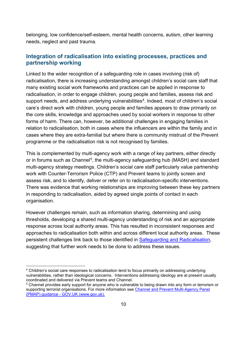belonging, low confidence/self-esteem, mental health concerns, autism, other learning needs, neglect and past trauma.

#### <span id="page-9-0"></span>**Integration of radicalisation into existing processes, practices and partnership working**

Linked to the wider recognition of a safeguarding role in cases involving (risk of) radicalisation, there is increasing understanding amongst children's social care staff that many existing social work frameworks and practices can be applied in response to radicalisation, in order to engage children, young people and families, assess risk and support needs, and address underlying vulnerabilities<sup>[4](#page-9-1)</sup>. Indeed, most of children's social care's direct work with children, young people and families appears to draw primarily on the core skills, knowledge and approaches used by social workers in response to other forms of harm. There can, however, be additional challenges in engaging families in relation to radicalisation, both in cases where the influencers are within the family and in cases where they are extra-familial but where there is community mistrust of the Prevent programme or the radicalisation risk is not recognised by families.

This is complemented by multi-agency work with a range of key partners, either directly or in forums such as Channel<sup>5</sup>, the multi-agency safeguarding hub (MASH) and standard multi-agency strategy meetings. Children's social care staff particularly value partnership work with Counter-Terrorism Police (CTP) and Prevent teams to jointly screen and assess risk, and to identify, deliver or refer on to radicalisation-specific interventions. There was evidence that working relationships are improving between these key partners in responding to radicalisation, aided by agreed single points of contact in each organisation.

However challenges remain, such as information sharing, determining and using thresholds, developing a shared multi-agency understanding of risk and an appropriate response across local authority areas. This has resulted in inconsistent responses and approaches to radicalisation both within and across different local authority areas. These persistent challenges link back to those identified in [Safeguarding and Radicalisation,](https://assets.publishing.service.gov.uk/government/uploads/system/uploads/attachment_data/file/635262/Safeguarding_and_Radicalisation.pdf) suggesting that further work needs to be done to address these issues.

<span id="page-9-1"></span><sup>&</sup>lt;sup>4</sup> Children's social care responses to radicalisation tend to focus primarily on addressing underlying vulnerabilities, rather than ideological concerns. Interventions addressing ideology are at present usually coordinated and delivered via Prevent teams and Channel.

<span id="page-9-2"></span><sup>&</sup>lt;sup>5</sup> Channel provides early support for anyone who is vulnerable to being drawn into any form or terrorism or supporting terrorist organisations. For more information see [Channel and Prevent Multi-Agency Panel](https://www.gov.uk/government/publications/channel-and-prevent-multi-agency-panel-pmap-guidance)  [\(PMAP\) guidance - GOV.UK \(www.gov.uk\).](https://www.gov.uk/government/publications/channel-and-prevent-multi-agency-panel-pmap-guidance)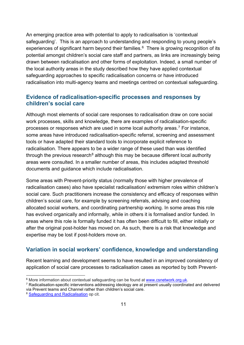An emerging practice area with potential to apply to radicalisation is 'contextual safeguarding'. This is an approach to understanding and responding to young people's experiences of significant harm beyond their families. [6](#page-10-2) There is growing recognition of its potential amongst children's social care staff and partners, as links are increasingly being drawn between radicalisation and other forms of exploitation. Indeed, a small number of the local authority areas in the study described how they have applied contextual safeguarding approaches to specific radicalisation concerns or have introduced radicalisation into multi-agency teams and meetings centred on contextual safeguarding.

#### <span id="page-10-0"></span>**Evidence of radicalisation-specific processes and responses by children's social care**

Although most elements of social care responses to radicalisation draw on core social work processes, skills and knowledge, there are examples of radicalisation-specific processes or responses which are used in some local authority areas.<sup>[7](#page-10-3)</sup> For instance, some areas have introduced radicalisation-specific referral, screening and assessment tools or have adapted their standard tools to incorporate explicit reference to radicalisation. There appears to be a wider range of these used than was identified through the previous research<sup>[8](#page-10-4)</sup> although this may be because different local authority areas were consulted. In a smaller number of areas, this includes adapted threshold documents and guidance which include radicalisation.

Some areas with Prevent-priority status (normally those with higher prevalence of radicalisation cases) also have specialist radicalisation/ extremism roles within children's social care. Such practitioners increase the consistency and efficacy of responses within children's social care, for example by screening referrals, advising and coaching allocated social workers, and coordinating partnership working. In some areas this role has evolved organically and informally, while in others it is formalised and/or funded. In areas where this role is formally funded it has often been difficult to fill, either initially or after the original post-holder has moved on. As such, there is a risk that knowledge and expertise may be lost if post-holders move on.

## <span id="page-10-1"></span>**Variation in social workers' confidence, knowledge and understanding**

Recent learning and development seems to have resulted in an improved consistency of application of social care processes to radicalisation cases as reported by both Prevent-

<span id="page-10-3"></span>

<span id="page-10-2"></span> $^6$  More information about contextual safeguarding can be found at <u>www.csnetwork.org.uk</u>.<br><sup>7</sup> Radicalisation-specific interventions addressing ideology are at present usually coordinated and delivered via Prevent teams and Channel rather than children's social care.

<span id="page-10-4"></span><sup>&</sup>lt;sup>8</sup> [Safeguarding and Radicalisation](https://assets.publishing.service.gov.uk/government/uploads/system/uploads/attachment_data/file/635262/Safeguarding_and_Radicalisation.pdf) op cit.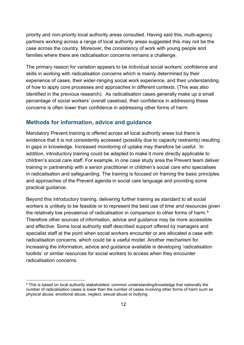priority and non-priority local authority areas consulted. Having said this, multi-agency partners working across a range of local authority areas suggested this may not be the case across the country. Moreover, the consistency of work with young people and families where there are radicalisation concerns remains a challenge.

The primary reason for variation appears to be individual social workers' confidence and skills in working with radicalisation concerns which is mainly determined by their experience of cases, their wider-ranging social work experience, and their understanding of how to apply core processes and approaches in different contexts. (This was also identified in the previous research). As radicalisation cases generally make up a small percentage of social workers' overall caseload, their confidence in addressing these concerns is often lower than confidence in addressing other forms of harm.

#### <span id="page-11-0"></span>**Methods for information, advice and guidance**

Mandatory Prevent training is offered across all local authority areas but there is evidence that it is not consistently accessed (possibly due to capacity restraints) resulting in gaps in knowledge. Increased monitoring of uptake may therefore be useful. In addition, introductory training could be adapted to make it more directly applicable to children's social care staff. For example, in one case study area the Prevent team deliver training in partnership with a senior practitioner in children's social care who specialises in radicalisation and safeguarding. The training is focused on framing the basic principles and approaches of the Prevent agenda in social care language and providing some practical guidance.

Beyond this introductory training, delivering further training as standard to all social workers is unlikely to be feasible or to represent the best use of time and resources given the relatively low prevalence of radicalisation in comparison to other forms of harm. $^{\rm 9}$  $^{\rm 9}$  $^{\rm 9}$ Therefore other sources of information, advice and guidance may be more accessible and effective. Some local authority staff described support offered by managers and specialist staff at the point when social workers encounter or are allocated a case with radicalisation concerns, which could be a useful model. Another mechanism for increasing the information, advice and guidance available is developing 'radicalisation toolkits' or similar resources for social workers to access when they encounter radicalisation concerns.

<span id="page-11-1"></span><sup>&</sup>lt;sup>9</sup> This is based on local authority stakeholders' common understanding/knowledge that nationally the number of radicalisation cases is lower than the number of cases involving other forms of harm such as physical abuse, emotional abuse, neglect, sexual abuse or bullying.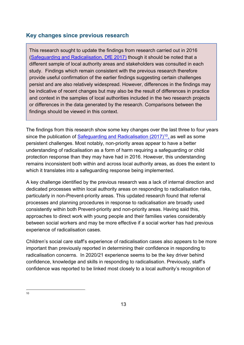## <span id="page-12-0"></span>**Key changes since previous research**

This research sought to update the findings from research carried out in 2016 [\(Safeguarding and Radicalisation,](https://assets.publishing.service.gov.uk/government/uploads/system/uploads/attachment_data/file/635262/Safeguarding_and_Radicalisation.pdf) DfE 2017) though it should be noted that a different sample of local authority areas and stakeholders was consulted in each study. Findings which remain consistent with the previous research therefore provide useful confirmation of the earlier findings suggesting certain challenges persist and are also relatively widespread. However, differences in the findings may be indicative of recent changes but may also be the result of differences in practice and context in the samples of local authorities included in the two research projects or differences in the data generated by the research. Comparisons between the findings should be viewed in this context.

The findings from this research show some key changes over the last three to four years since the publication of [Safeguarding and Radicalisation](https://assets.publishing.service.gov.uk/government/uploads/system/uploads/attachment_data/file/635262/Safeguarding_and_Radicalisation.pdf) (2017)<sup>[10](#page-12-1)</sup>, as well as some persistent challenges. Most notably, non-priority areas appear to have a better understanding of radicalisation as a form of harm requiring a safeguarding or child protection response than they may have had in 2016. However, this understanding remains inconsistent both within and across local authority areas, as does the extent to which it translates into a safeguarding response being implemented.

A key challenge identified by the previous research was a lack of internal direction and dedicated processes within local authority areas on responding to radicalisation risks, particularly in non-Prevent-priority areas. This updated research found that referral processes and planning procedures in response to radicalisation are broadly used consistently within both Prevent-priority and non-priority areas. Having said this, approaches to direct work with young people and their families varies considerably between social workers and may be more effective if a social worker has had previous experience of radicalisation cases.

Children's social care staff's experience of radicalisation cases also appears to be more important than previously reported in determining their confidence in responding to radicalisation concerns. In 2020/21 experience seems to be the key driver behind confidence, knowledge and skills in responding to radicalisation. Previously, staff's confidence was reported to be linked most closely to a local authority's recognition of

<span id="page-12-1"></span><sup>10</sup>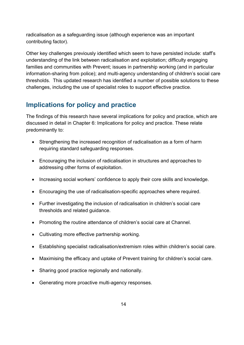radicalisation as a safeguarding issue (although experience was an important contributing factor).

Other key challenges previously identified which seem to have persisted include: staff's understanding of the link between radicalisation and exploitation; difficulty engaging families and communities with Prevent; issues in partnership working (and in particular information-sharing from police); and multi-agency understanding of children's social care thresholds. This updated research has identified a number of possible solutions to these challenges, including the use of specialist roles to support effective practice.

# <span id="page-13-0"></span>**Implications for policy and practice**

The findings of this research have several implications for policy and practice, which are discussed in detail in [Chapter 6: Implications](#page-85-0) for policy and practice. These relate predominantly to:

- Strengthening the increased recognition of radicalisation as a form of harm requiring standard safeguarding responses.
- Encouraging the inclusion of radicalisation in structures and approaches to addressing other forms of exploitation.
- Increasing social workers' confidence to apply their core skills and knowledge.
- Encouraging the use of radicalisation-specific approaches where required.
- Further investigating the inclusion of radicalisation in children's social care thresholds and related guidance.
- Promoting the routine attendance of children's social care at Channel.
- Cultivating more effective partnership working.
- Establishing specialist radicalisation/extremism roles within children's social care.
- Maximising the efficacy and uptake of Prevent training for children's social care.
- Sharing good practice regionally and nationally.
- Generating more proactive multi-agency responses.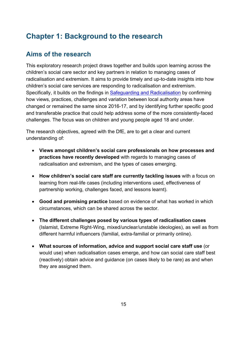# <span id="page-14-0"></span>**Chapter 1: Background to the research**

# <span id="page-14-1"></span>**Aims of the research**

This exploratory research project draws together and builds upon learning across the children's social care sector and key partners in relation to managing cases of radicalisation and extremism. It aims to provide timely and up-to-date insights into how children's social care services are responding to radicalisation and extremism. Specifically, it builds on the findings in [Safeguarding and Radicalisation](https://assets.publishing.service.gov.uk/government/uploads/system/uploads/attachment_data/file/635262/Safeguarding_and_Radicalisation.pdf) by confirming how views, practices, challenges and variation between local authority areas have changed or remained the same since 2016-17, and by identifying further specific good and transferable practice that could help address some of the more consistently-faced challenges. The focus was on children and young people aged 18 and under.

The research objectives, agreed with the DfE, are to get a clear and current understanding of:

- **Views amongst children's social care professionals on how processes and practices have recently developed** with regards to managing cases of radicalisation and extremism, and the types of cases emerging.
- **How children's social care staff are currently tackling issues** with a focus on learning from real-life cases (including interventions used, effectiveness of partnership working, challenges faced, and lessons learnt).
- **Good and promising practice** based on evidence of what has worked in which circumstances, which can be shared across the sector.
- **The different challenges posed by various types of radicalisation cases** (Islamist, Extreme Right-Wing, mixed/unclear/unstable ideologies), as well as from different harmful influencers (familial, extra-familial or primarily online).
- **What sources of information, advice and support social care staff use** (or would use) when radicalisation cases emerge, and how can social care staff best (reactively) obtain advice and guidance (on cases likely to be rare) as and when they are assigned them.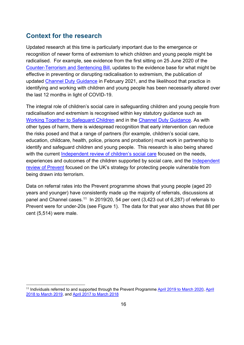# <span id="page-15-0"></span>**Context for the research**

Updated research at this time is particularly important due to the emergence or recognition of newer forms of extremism to which children and young people might be radicalised. For example, see evidence from the first sitting on 25 June 2020 of the [Counter-Terrorism and Sentencing Bill,](https://publications.parliament.uk/pa/cm5801/cmpublic/CounterTerrorism/PBC129_Counter-Terrorism_1st-4th_Combined_30_06_2020.pdf) updates to the evidence base for what might be effective in preventing or disrupting radicalisation to extremism, the publication of updated [Channel Duty Guidance](https://assets.publishing.service.gov.uk/government/uploads/system/uploads/attachment_data/file/964567/6.6271_HO_HMG_Channel_Duty_Guidance_v14_Web.pdf) in February 2021, and the likelihood that practice in identifying and working with children and young people has been necessarily altered over the last 12 months in light of COVID-19.

The integral role of children's social care in safeguarding children and young people from radicalisation and extremism is recognised within key statutory guidance such as [Working Together to Safeguard Children](https://www.gov.uk/government/publications/working-together-to-safeguard-children--2) and in the [Channel Duty Guidance.](https://assets.publishing.service.gov.uk/government/uploads/system/uploads/attachment_data/file/964567/6.6271_HO_HMG_Channel_Duty_Guidance_v14_Web.pdf) As with other types of harm, there is widespread recognition that early intervention can reduce the risks posed and that a range of partners (for example, children's social care, education, childcare, health, police, prisons and probation) must work in partnership to identify and safeguard children and young people. This research is also being shared with the current [Independent review of children's social care](https://childrenssocialcare.independent-review.uk/) focused on the needs, experiences and outcomes of the children supported by social care, and the Independent [review of Prevent](https://www.gov.uk/government/collections/independent-review-of-prevent) focused on the UK's strategy for protecting people vulnerable from being drawn into terrorism.

Data on referral rates into the Prevent programme shows that young people (aged 20 years and younger) have consistently made up the majority of referrals, discussions at panel and Channel cases.<sup>11</sup> In 2019/20, 54 per cent (3,423 out of 6,287) of referrals to Prevent were for under-20s (see Figure 1). The data for that year also shows that 88 per cent (5,514) were male.

<span id="page-15-1"></span><sup>&</sup>lt;sup>11</sup> Individuals referred to and supported through the Prevent Programme [April 2019 to March 2020,](https://www.gov.uk/government/statistics/individuals-referred-to-and-supported-through-the-prevent-programme-april-2019-to-march-2020/individuals-referred-to-and-supported-through-the-prevent-programme-april-2019-to-march-2020) April [2018 to March 2019,](https://assets.publishing.service.gov.uk/government/uploads/system/uploads/attachment_data/file/853646/individuals-referred-supported-prevent-programme-apr2018-mar2019-hosb3219.pdf) and [April 2017 to March 2018](https://assets.publishing.service.gov.uk/government/uploads/system/uploads/attachment_data/file/763254/individuals-referred-supported-prevent-programme-apr2017-mar2018-hosb3118.pdf)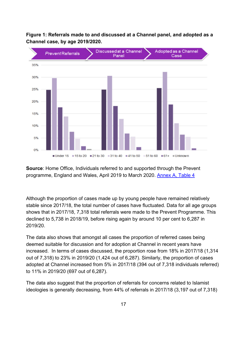<span id="page-16-0"></span>**Figure 1: Referrals made to and discussed at a Channel panel, and adopted as a Channel case, by age 2019/2020.** 



**Source**: Home Office, Individuals referred to and supported through the Prevent programme, England and Wales, April 2019 to March 2020. [Annex A, Table 4](https://www.gov.uk/government/statistics/individuals-referred-to-and-supported-through-the-prevent-programme-april-2019-to-march-2020)

Although the proportion of cases made up by young people have remained relatively stable since 2017/18, the total number of cases have fluctuated. Data for all age groups shows that in 2017/18, 7,318 total referrals were made to the Prevent Programme. This declined to 5,738 in 2018/19, before rising again by around 10 per cent to 6,287 in 2019/20.

The data also shows that amongst all cases the proportion of referred cases being deemed suitable for discussion and for adoption at Channel in recent years have increased. In terms of cases discussed, the proportion rose from 18% in 2017/18 (1,314 out of 7,318) to 23% in 2019/20 (1,424 out of 6,287). Similarly, the proportion of cases adopted at Channel increased from 5% in 2017/18 (394 out of 7,318 individuals referred) to 11% in 2019/20 (697 out of 6,287).

The data also suggest that the proportion of referrals for concerns related to Islamist ideologies is generally decreasing, from 44% of referrals in 2017/18 (3,197 out of 7,318)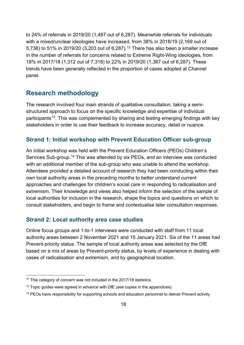to 24% of referrals in 2019/20 (1,487 out of 6,287). Meanwhile referrals for individuals with a mixed/unclear ideologies have increased, from 38% in 2018/19 (2,169 out of 5,738) to 51% in 2019/20 (3,203 out of 6,287).<sup>[12](#page-17-3)</sup> There has also been a smaller increase in the number of referrals for concerns related to Extreme Right-Wing ideologies, from 18% in 2017/18 (1,312 out of 7,318) to 22% in 2019/20 (1,387 out of 6,287). These trends have been generally reflected in the proportion of cases adopted at Channel panel.

## <span id="page-17-0"></span>**Research methodology**

The research involved four main strands of qualitative consultation, taking a semistructured approach to focus on the specific knowledge and expertise of individual participants<sup>13</sup>. This was complemented by sharing and testing emerging findings with key stakeholders in order to use their feedback to increase accuracy, detail or nuance.

#### <span id="page-17-1"></span>**Strand 1: Initial workshop with Prevent Education Officer sub-group**

An initial workshop was held with the Prevent Education Officers (PEOs) Children's Services Sub-group.<sup>[14](#page-17-5)</sup> This was attended by six PEOs, and an interview was conducted with an additional member of the sub-group who was unable to attend the workshop. Attendees provided a detailed account of research they had been conducting within their own local authority areas in the preceding months to better understand current approaches and challenges for children's social care in responding to radicalisation and extremism. Their knowledge and views also helped inform the selection of the sample of local authorities for inclusion in the research, shape the topics and questions on which to consult stakeholders, and begin to frame and contextualise later consultation responses.

#### <span id="page-17-2"></span>**Strand 2: Local authority area case studies**

Online focus groups and 1-to-1 interviews were conducted with staff from 11 local authority areas between 2 November 2021 and 15 January 2021. Six of the 11 areas had Prevent-priority status. The sample of local authority areas was selected by the DfE based on a mix of areas by Prevent-priority status, by levels of experience in dealing with cases of radicalisation and extremism, and by geographical location.

<span id="page-17-3"></span><sup>&</sup>lt;sup>12</sup> This category of concern was not included in the 2017/18 statistics.

<span id="page-17-4"></span> $13$  Topic guides were agreed in advance with DfE (see copies in the appendices).

<span id="page-17-5"></span><sup>&</sup>lt;sup>14</sup> PEOs have responsibility for supporting schools and education personnel to deliver Prevent activity.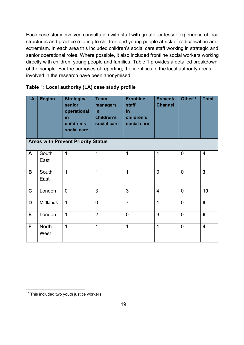Each case study involved consultation with staff with greater or lesser experience of local structures and practice relating to children and young people at risk of radicalisation and extremism. In each area this included children's social care staff working in strategic and senior operational roles. Where possible, it also included frontline social workers working directly with children, young people and families. [Table 1](#page-18-0) provides a detailed breakdown of the sample. For the purposes of reporting, the identities of the local authority areas involved in the research have been anonymised.

<span id="page-18-0"></span>

| Table 1: Local authority (LA) case study profile |  |  |
|--------------------------------------------------|--|--|
|--------------------------------------------------|--|--|

| LA          | <b>Region</b>        | <b>Strategic/</b><br>senior<br>operational<br>in<br>children's<br>social care<br><b>Areas with Prevent Priority Status</b> | <b>Team</b><br>managers<br>in<br>children's<br>social care | <b>Frontline</b><br>staff<br>in<br>children's<br>social care | Prevent/<br><b>Channel</b> | Other <sup>15</sup> | <b>Total</b>            |
|-------------|----------------------|----------------------------------------------------------------------------------------------------------------------------|------------------------------------------------------------|--------------------------------------------------------------|----------------------------|---------------------|-------------------------|
|             |                      |                                                                                                                            |                                                            |                                                              |                            |                     |                         |
| A           | South<br>East        | $\mathbf 1$                                                                                                                | 1                                                          | 1                                                            | 1                          | $\overline{0}$      | $\overline{\mathbf{4}}$ |
| B           | South<br>East        | $\mathbf 1$                                                                                                                | $\mathbf 1$                                                | $\overline{1}$                                               | $\overline{0}$             | $\overline{0}$      | $\overline{3}$          |
| $\mathbf C$ | London               | $\overline{0}$                                                                                                             | 3                                                          | 3                                                            | $\overline{4}$             | $\overline{0}$      | 10                      |
| D           | Midlands             | $\mathbf 1$                                                                                                                | $\overline{0}$                                             | $\overline{7}$                                               | $\overline{1}$             | $\overline{0}$      | 9                       |
| E           | London               | $\mathbf{1}$                                                                                                               | $\overline{2}$                                             | $\overline{0}$                                               | 3                          | $\overline{0}$      | 6                       |
| F           | <b>North</b><br>West | $\mathbf 1$                                                                                                                | 1                                                          | 1                                                            | $\mathbf 1$                | $\overline{0}$      | $\overline{\mathbf{4}}$ |

<span id="page-18-1"></span><sup>&</sup>lt;sup>15</sup> This included two youth justice workers.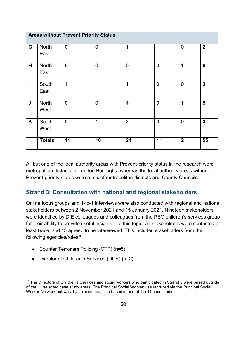| <b>Areas without Prevent Priority Status</b> |               |                |                |                |                |                |                |  |
|----------------------------------------------|---------------|----------------|----------------|----------------|----------------|----------------|----------------|--|
| G                                            | North<br>East | $\overline{0}$ | $\overline{0}$ | 1              | $\mathbf 1$    | $\overline{0}$ | $\overline{2}$ |  |
| H                                            | North<br>East | 5              | $\overline{0}$ | $\overline{0}$ | $\overline{0}$ | $\mathbf 1$    | 6              |  |
| T                                            | South<br>East | $\mathbf 1$    | $\overline{1}$ | 1              | $\overline{0}$ | $\overline{0}$ | $\mathbf{3}$   |  |
| J                                            | North<br>West | $\overline{0}$ | $\overline{0}$ | $\overline{4}$ | $\overline{0}$ | 1              | $5\phantom{1}$ |  |
| K                                            | South<br>West | $\overline{0}$ | $\overline{1}$ | $\overline{2}$ | $\overline{0}$ | $\overline{0}$ | $\mathbf{3}$   |  |
|                                              | <b>Totals</b> | 11             | 10             | 21             | 11             | $\mathbf{2}$   | 55             |  |

All but one of the local authority areas with Prevent-priority status in the research were metropolitan districts or London Boroughs, whereas the local authority areas without Prevent-priority status were a mix of metropolitan districts and County Councils.

## <span id="page-19-0"></span>**Strand 3: Consultation with national and regional stakeholders**

Online focus groups and 1-to-1 interviews were also conducted with regional and national stakeholders between 2 November 2021 and 15 January 2021. Nineteen stakeholders were identified by DfE colleagues and colleagues from the PEO children's services group for their ability to provide useful insights into this topic. All stakeholders were contacted at least twice, and 13 agreed to be interviewed. This included stakeholders from the following agencies/roles $16$ :

- Counter Terrorism Policing (CTP) (n=5)
- Director of Children's Services (DCS) (n=2)

<span id="page-19-1"></span><sup>&</sup>lt;sup>16</sup> The Directors of Children's Services and social workers who participated in Strand 3 were based outside of the 11 selected case study areas. The Principal Social Worker was recruited via the Principal Social Worker Network but was, by coincidence, also based in one of the 11 case studies.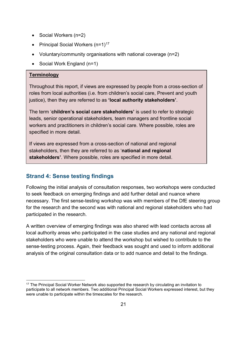- Social Workers (n=2)
- Principal Social Workers  $(n=1)^{17}$  $(n=1)^{17}$  $(n=1)^{17}$
- Voluntary/community organisations with national coverage (n=2)
- Social Work England (n=1)

#### **Terminology**

Throughout this report, if views are expressed by people from a cross-section of roles from local authorities (i.e. from children's social care, Prevent and youth justice), then they are referred to as **'local authority stakeholders'**.

The term '**children's social care stakeholders'** is used to refer to strategic leads, senior operational stakeholders, team managers and frontline social workers and practitioners in children's social care. Where possible, roles are specified in more detail.

If views are expressed from a cross-section of national and regional stakeholders, then they are referred to as '**national and regional stakeholders'**. Where possible, roles are specified in more detail.

#### <span id="page-20-0"></span>**Strand 4: Sense testing findings**

Following the initial analysis of consultation responses, two workshops were conducted to seek feedback on emerging findings and add further detail and nuance where necessary. The first sense-testing workshop was with members of the DfE steering group for the research and the second was with national and regional stakeholders who had participated in the research.

A written overview of emerging findings was also shared with lead contacts across all local authority areas who participated in the case studies and any national and regional stakeholders who were unable to attend the workshop but wished to contribute to the sense-testing process. Again, their feedback was sought and used to inform additional analysis of the original consultation data or to add nuance and detail to the findings.

<span id="page-20-1"></span><sup>&</sup>lt;sup>17</sup> The Principal Social Worker Network also supported the research by circulating an invitation to participate to all network members. Two additional Principal Social Workers expressed interest, but they were unable to participate within the timescales for the research.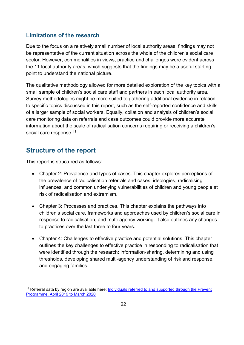#### <span id="page-21-0"></span>**Limitations of the research**

Due to the focus on a relatively small number of local authority areas, findings may not be representative of the current situation across the whole of the children's social care sector. However, commonalities in views, practice and challenges were evident across the 11 local authority areas, which suggests that the findings may be a useful starting point to understand the national picture.

The qualitative methodology allowed for more detailed exploration of the key topics with a small sample of children's social care staff and partners in each local authority area. Survey methodologies might be more suited to gathering additional evidence in relation to specific topics discussed in this report, such as the self-reported confidence and skills of a larger sample of social workers. Equally, collation and analysis of children's social care monitoring data on referrals and case outcomes could provide more accurate information about the scale of radicalisation concerns requiring or receiving a children's social care response.<sup>18</sup>

## <span id="page-21-1"></span>**Structure of the report**

This report is structured as follows:

- Chapter 2: Prevalence and types of cases. This chapter explores perceptions of the prevalence of radicalisation referrals and cases, ideologies, radicalising influences, and common underlying vulnerabilities of children and young people at risk of radicalisation and extremism.
- Chapter 3: Processes and practices. This chapter explains the pathways into children's social care, frameworks and approaches used by children's social care in response to radicalisation, and multi-agency working. It also outlines any changes to practices over the last three to four years.
- Chapter 4: Challenges to effective practice and potential solutions. This chapter outlines the key challenges to effective practice in responding to radicalisation that were identified through the research; information-sharing, determining and using thresholds, developing shared multi-agency understanding of risk and response, and engaging families.

<span id="page-21-2"></span><sup>&</sup>lt;sup>18</sup> Referral data by region are available here: Individuals referred to and supported through the Prevent [Programme, April 2019 to March 2020](https://www.gov.uk/government/statistics/individuals-referred-to-and-supported-through-the-prevent-programme-april-2019-to-march-2020/individuals-referred-to-and-supported-through-the-prevent-programme-april-2019-to-march-2020)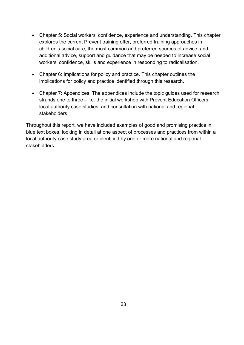- Chapter 5: Social workers' confidence, experience and understanding. This chapter explores the current Prevent training offer, preferred training approaches in children's social care, the most common and preferred sources of advice, and additional advice, support and guidance that may be needed to increase social workers' confidence, skills and experience in responding to radicalisation.
- Chapter 6: Implications for policy and practice. This chapter outlines the implications for policy and practice identified through this research.
- Chapter 7: Appendices. The appendices include the topic guides used for research strands one to three – i.e. the initial workshop with Prevent Education Officers, local authority case studies, and consultation with national and regional stakeholders.

Throughout this report, we have included examples of good and promising practice in blue text boxes, looking in detail at one aspect of processes and practices from within a local authority case study area or identified by one or more national and regional stakeholders.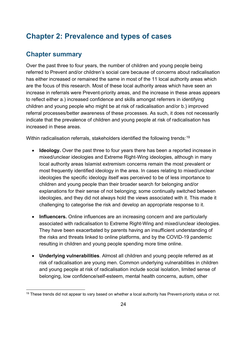# <span id="page-23-0"></span>**Chapter 2: Prevalence and types of cases**

## <span id="page-23-1"></span>**Chapter summary**

Over the past three to four years, the number of children and young people being referred to Prevent and/or children's social care because of concerns about radicalisation has either increased or remained the same in most of the 11 local authority areas which are the focus of this research. Most of these local authority areas which have seen an increase in referrals were Prevent-priority areas, and the increase in these areas appears to reflect either a.) increased confidence and skills amongst referrers in identifying children and young people who might be at risk of radicalisation and/or b.) improved referral processes/better awareness of these processes. As such, it does not necessarily indicate that the prevalence of children and young people at risk of radicalisation has increased in these areas.

Within radicalisation referrals, stakeholders identified the following trends: $^{\rm 19}$  $^{\rm 19}$  $^{\rm 19}$ 

- **Ideology.** Over the past three to four years there has been a reported increase in mixed/unclear ideologies and Extreme Right-Wing ideologies, although in many local authority areas Islamist extremism concerns remain the most prevalent or most frequently identified ideology in the area. In cases relating to mixed/unclear ideologies the specific ideology itself was perceived to be of less importance to children and young people than their broader search for belonging and/or explanations for their sense of not belonging; some continually switched between ideologies, and they did not always hold the views associated with it. This made it challenging to categorise the risk and develop an appropriate response to it.
- **Influencers.** Online influences are an increasing concern and are particularly associated with radicalisation to Extreme Right-Wing and mixed/unclear ideologies. They have been exacerbated by parents having an insufficient understanding of the risks and threats linked to online platforms, and by the COVID-19 pandemic resulting in children and young people spending more time online.
- **Underlying vulnerabilities**. Almost all children and young people referred as at risk of radicalisation are young men. Common underlying vulnerabilities in children and young people at risk of radicalisation include social isolation, limited sense of belonging, low confidence/self-esteem, mental health concerns, autism, other

<span id="page-23-2"></span><sup>&</sup>lt;sup>19</sup> These trends did not appear to vary based on whether a local authority has Prevent-priority status or not.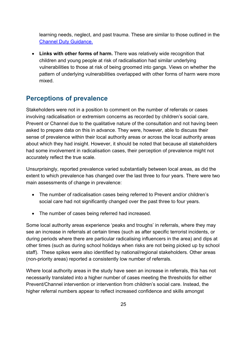learning needs, neglect, and past trauma. These are similar to those outlined in the [Channel Duty Guidance.](https://assets.publishing.service.gov.uk/government/uploads/system/uploads/attachment_data/file/964567/6.6271_HO_HMG_Channel_Duty_Guidance_v14_Web.pdf)

• **Links with other forms of harm.** There was relatively wide recognition that children and young people at risk of radicalisation had similar underlying vulnerabilities to those at risk of being groomed into gangs. Views on whether the pattern of underlying vulnerabilities overlapped with other forms of harm were more mixed.

# <span id="page-24-0"></span>**Perceptions of prevalence**

Stakeholders were not in a position to comment on the number of referrals or cases involving radicalisation or extremism concerns as recorded by children's social care, Prevent or Channel due to the qualitative nature of the consultation and not having been asked to prepare data on this in advance. They were, however, able to discuss their sense of prevalence within their local authority areas or across the local authority areas about which they had insight. However, it should be noted that because all stakeholders had some involvement in radicalisation cases, their perception of prevalence might not accurately reflect the true scale.

Unsurprisingly, reported prevalence varied substantially between local areas, as did the extent to which prevalence has changed over the last three to four years. There were two main assessments of change in prevalence:

- The number of radicalisation cases being referred to Prevent and/or children's social care had not significantly changed over the past three to four years.
- The number of cases being referred had increased.

Some local authority areas experience 'peaks and troughs' in referrals, where they may see an increase in referrals at certain times (such as after specific terrorist incidents, or during periods where there are particular radicalising influencers in the area) and dips at other times (such as during school holidays when risks are not being picked up by school staff). These spikes were also identified by national/regional stakeholders. Other areas (non-priority areas) reported a consistently low number of referrals.

Where local authority areas in the study have seen an increase in referrals, this has not necessarily translated into a higher number of cases meeting the thresholds for either Prevent/Channel intervention or intervention from children's social care. Instead, the higher referral numbers appear to reflect increased confidence and skills amongst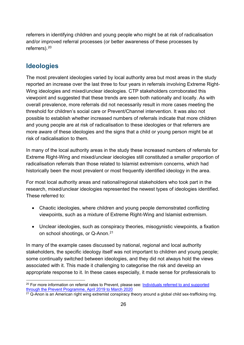referrers in identifying children and young people who might be at risk of radicalisation and/or improved referral processes (or better awareness of these processes by referrers).[20](#page-25-1)

# <span id="page-25-0"></span>**Ideologies**

The most prevalent ideologies varied by local authority area but most areas in the study reported an increase over the last three to four years in referrals involving Extreme Right-Wing ideologies and mixed/unclear ideologies. CTP stakeholders corroborated this viewpoint and suggested that these trends are seen both nationally and locally. As with overall prevalence, more referrals did not necessarily result in more cases meeting the threshold for children's social care or Prevent/Channel intervention. It was also not possible to establish whether increased numbers of referrals indicate that more children and young people are at risk of radicalisation to these ideologies or that referrers are more aware of these ideologies and the signs that a child or young person might be at risk of radicalisation to them.

In many of the local authority areas in the study these increased numbers of referrals for Extreme Right-Wing and mixed/unclear ideologies still constituted a smaller proportion of radicalisation referrals than those related to Islamist extremism concerns, which had historically been the most prevalent or most frequently identified ideology in the area.

For most local authority areas and national/regional stakeholders who took part in the research, mixed/unclear ideologies represented the newest types of ideologies identified. These referred to:

- Chaotic ideologies, where children and young people demonstrated conflicting viewpoints, such as a mixture of Extreme Right-Wing and Islamist extremism.
- Unclear ideologies, such as conspiracy theories, misogynistic viewpoints, a fixation on school shootings, or Q-Anon. [21](#page-25-2)

In many of the example cases discussed by national, regional and local authority stakeholders, the specific ideology itself was not important to children and young people; some continually switched between ideologies, and they did not always hold the views associated with it. This made it challenging to categorise the risk and develop an appropriate response to it. In these cases especially, it made sense for professionals to

<span id="page-25-1"></span><sup>&</sup>lt;sup>20</sup> For more information on referral rates to Prevent, please see: Individuals referred to and supported [through the Prevent Programme, April 2019 to March 2020](https://www.gov.uk/government/statistics/individuals-referred-to-and-supported-through-the-prevent-programme-april-2019-to-march-2020/individuals-referred-to-and-supported-through-the-prevent-programme-april-2019-to-march-2020)

<span id="page-25-2"></span> $21$  Q-Anon is an American right wing extremist conspiracy theory around a global child sex-trafficking ring.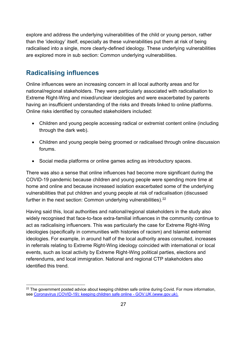explore and address the underlying vulnerabilities of the child or young person, rather than the 'ideology' itself, especially as these vulnerabilities put them at risk of being radicalised into a single, more clearly-defined ideology. These underlying vulnerabilities are explored more in sub section: [Common underlying vulnerabilities.](#page-27-0)

# <span id="page-26-0"></span>**Radicalising influences**

Online influences were an increasing concern in all local authority areas and for national/regional stakeholders. They were particularly associated with radicalisation to Extreme Right-Wing and mixed/unclear ideologies and were exacerbated by parents having an insufficient understanding of the risks and threats linked to online platforms. Online risks identified by consulted stakeholders included:

- Children and young people accessing radical or extremist content online (including through the dark web).
- Children and young people being groomed or radicalised through online discussion forums.
- Social media platforms or online games acting as introductory spaces.

There was also a sense that online influences had become more significant during the COVID-19 pandemic because children and young people were spending more time at home and online and because increased isolation exacerbated some of the underlying vulnerabilities that put children and young people at risk of radicalisation (discussed further in the next section: [Common underlying vulnerabilities\)](#page-27-0).<sup>[22](#page-26-1)</sup>

Having said this, local authorities and national/regional stakeholders in the study also widely recognised that face-to-face extra-familial influences in the community continue to act as radicalising influencers. This was particularly the case for Extreme Right-Wing ideologies (specifically in communities with histories of racism) and Islamist extremist ideologies. For example, in around half of the local authority areas consulted, increases in referrals relating to Extreme Right-Wing ideology coincided with international or local events, such as local activity by Extreme Right-Wing political parties, elections and referendums, and local immigration. National and regional CTP stakeholders also identified this trend.

<span id="page-26-1"></span> $22$  The government posted advice about keeping children safe online during Covid. For more information, see [Coronavirus \(COVID-19\): keeping children safe online - GOV.UK \(www.gov.uk\).](https://www.gov.uk/government/publications/coronavirus-covid-19-keeping-children-safe-online)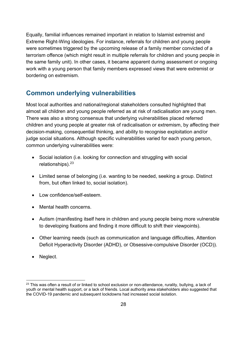Equally, familial influences remained important in relation to Islamist extremist and Extreme Right-Wing ideologies. For instance, referrals for children and young people were sometimes triggered by the upcoming release of a family member convicted of a terrorism offence (which might result in multiple referrals for children and young people in the same family unit). In other cases, it became apparent during assessment or ongoing work with a young person that family members expressed views that were extremist or bordering on extremism.

# <span id="page-27-0"></span>**Common underlying vulnerabilities**

Most local authorities and national/regional stakeholders consulted highlighted that almost all children and young people referred as at risk of radicalisation are young men. There was also a strong consensus that underlying vulnerabilities placed referred children and young people at greater risk of radicalisation or extremism, by affecting their decision-making, consequential thinking, and ability to recognise exploitation and/or judge social situations. Although specific vulnerabilities varied for each young person, common underlying vulnerabilities were:

- Social isolation (i.e. looking for connection and struggling with social relationships).[23](#page-27-1)
- Limited sense of belonging (i.e. wanting to be needed, seeking a group. Distinct from, but often linked to, social isolation).
- Low confidence/self-esteem.
- Mental health concerns.
- Autism (manifesting itself here in children and young people being more vulnerable to developing fixations and finding it more difficult to shift their viewpoints).
- Other learning needs (such as communication and language difficulties, Attention Deficit Hyperactivity Disorder (ADHD), or Obsessive-compulsive Disorder (OCD)).
- Neglect.

<span id="page-27-1"></span> $23$  This was often a result of or linked to school exclusion or non-attendance, rurality, bullying, a lack of youth or mental health support, or a lack of friends. Local authority area stakeholders also suggested that the COVID-19 pandemic and subsequent lockdowns had increased social isolation.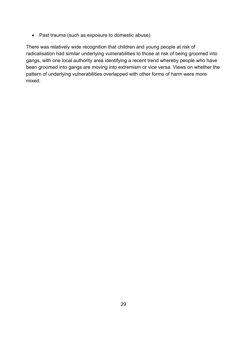• Past trauma (such as exposure to domestic abuse).

There was relatively wide recognition that children and young people at risk of radicalisation had similar underlying vulnerabilities to those at risk of being groomed into gangs, with one local authority area identifying a recent trend whereby people who have been groomed into gangs are moving into extremism or vice versa. Views on whether the pattern of underlying vulnerabilities overlapped with other forms of harm were more mixed.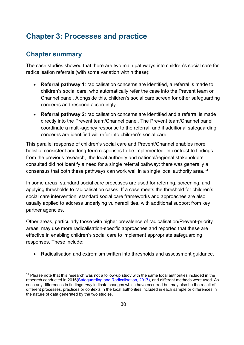# <span id="page-29-0"></span>**Chapter 3: Processes and practice**

# <span id="page-29-1"></span>**Chapter summary**

The case studies showed that there are two main pathways into children's social care for radicalisation referrals (with some variation within these):

- **Referral pathway 1**: radicalisation concerns are identified, a referral is made to children's social care, who automatically refer the case into the Prevent team or Channel panel. Alongside this, children's social care screen for other safeguarding concerns and respond accordingly.
- **Referral pathway 2**: radicalisation concerns are identified and a referral is made directly into the Prevent team/Channel panel. The Prevent team/Channel panel coordinate a multi-agency response to the referral, and if additional safeguarding concerns are identified will refer into children's social care.

This parallel response of children's social care and Prevent/Channel enables more holistic, consistent and long-term responses to be implemented. In contrast to findings from the previous research, the local authority and national/regional stakeholders consulted did not identify a need for a single referral pathway; there was generally a consensus that both these pathways can work well in a single local authority area. $^{24}$  $^{24}$  $^{24}$ 

In some areas, standard social care processes are used for referring, screening, and applying thresholds to radicalisation cases. If a case meets the threshold for children's social care intervention, standard social care frameworks and approaches are also usually applied to address underlying vulnerabilities, with additional support from key partner agencies.

Other areas, particularly those with higher prevalence of radicalisation/Prevent-priority areas, may use more radicalisation-specific approaches and reported that these are effective in enabling children's social care to implement appropriate safeguarding responses. These include:

• Radicalisation and extremism written into thresholds and assessment guidance.

<span id="page-29-2"></span><sup>&</sup>lt;sup>24</sup> Please note that this research was not a follow-up study with the same local authorities included in the research conducted in 2016[\(Safeguarding and Radicalisation,](https://assets.publishing.service.gov.uk/government/uploads/system/uploads/attachment_data/file/635262/Safeguarding_and_Radicalisation.pdf) 2017), and different methods were used. As such any differences in findings *may* indicate changes which have occurred but may also be the result of different processes, practices or contexts in the local authorities included in each sample or differences in the nature of data generated by the two studies.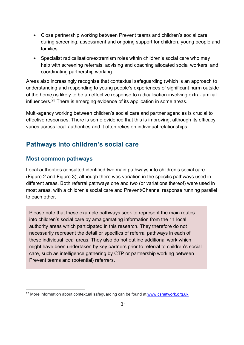- Close partnership working between Prevent teams and children's social care during screening, assessment and ongoing support for children, young people and families.
- Specialist radicalisation/extremism roles within children's social care who may help with screening referrals, advising and coaching allocated social workers, and coordinating partnership working.

Areas also increasingly recognise that contextual safeguarding (which is an approach to understanding and responding to young people's experiences of significant harm outside of the home) is likely to be an effective response to radicalisation involving extra-familial influencers.[25](#page-30-2) There is emerging evidence of its application in some areas.

Multi-agency working between children's social care and partner agencies is crucial to effective responses. There is some evidence that this is improving, although its efficacy varies across local authorities and it often relies on individual relationships.

# <span id="page-30-0"></span>**Pathways into children's social care**

## <span id="page-30-1"></span>**Most common pathways**

Local authorities consulted identified two main pathways into children's social care [\(Figure 2](#page-31-0) and [Figure 3\)](#page-32-0), although there was variation in the specific pathways used in different areas. Both referral pathways one and two (or variations thereof) were used in most areas, with a children's social care and Prevent/Channel response running parallel to each other.

Please note that these example pathways seek to represent the main routes into children's social care by amalgamating information from the 11 local authority areas which participated in this research. They therefore do not necessarily represent the detail or specifics of referral pathways in each of these individual local areas. They also do not outline additional work which might have been undertaken by key partners prior to referral to children's social care, such as intelligence gathering by CTP or partnership working between Prevent teams and (potential) referrers.

<span id="page-30-2"></span> $25$  More information about contextual safeguarding can be found at [www.csnetwork.org.uk.](https://www.csnetwork.org.uk/en/about/what-is-contextual-safeguarding#:%7E:text=Contextual%20Safeguarding%20is%20an%20approach,can%20feature%20violence%20and%20abuse)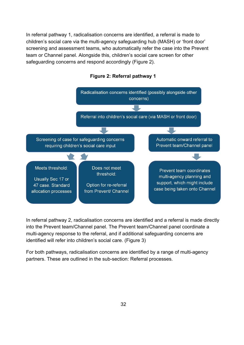In referral pathway 1, radicalisation concerns are identified, a referral is made to children's social care via the multi-agency safeguarding hub (MASH) or 'front door' screening and assessment teams, who automatically refer the case into the Prevent team or Channel panel. Alongside this, children's social care screen for other safeguarding concerns and respond accordingly (Figure 2).

<span id="page-31-0"></span>

#### **Figure 2: Referral pathway 1**

In referral pathway 2, radicalisation concerns are identified and a referral is made directly into the Prevent team/Channel panel. The Prevent team/Channel panel coordinate a multi-agency response to the referral, and if additional safeguarding concerns are identified will refer into children's social care. (Figure 3)

For both pathways, radicalisation concerns are identified by a range of multi-agency partners. These are outlined in the sub-section: [Referral processes.](#page-33-0)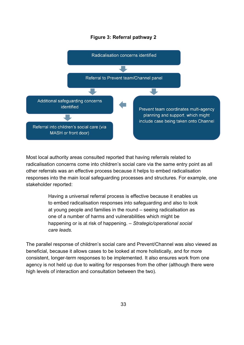#### **Figure 3: Referral pathway 2**

<span id="page-32-0"></span>

Most local authority areas consulted reported that having referrals related to radicalisation concerns come into children's social care via the same entry point as all other referrals was an effective process because it helps to embed radicalisation responses into the main local safeguarding processes and structures. For example, one stakeholder reported:

> Having a universal referral process is effective because it enables us to embed radicalisation responses into safeguarding and also to look at young people and families in the round – seeing radicalisation as one of a number of harms and vulnerabilities which might be happening or is at risk of happening. – *Strategic/operational social care leads.*

The parallel response of children's social care and Prevent/Channel was also viewed as beneficial, because it allows cases to be looked at more holistically, and for more consistent, longer-term responses to be implemented. It also ensures work from one agency is not held up due to waiting for responses from the other (although there were high levels of interaction and consultation between the two).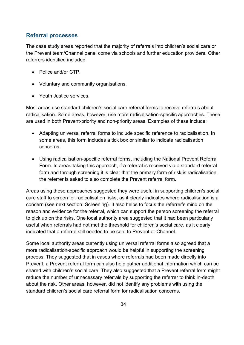#### <span id="page-33-0"></span>**Referral processes**

The case study areas reported that the majority of referrals into children's social care or the Prevent team/Channel panel come via schools and further education providers. Other referrers identified included:

- Police and/or CTP.
- Voluntary and community organisations.
- Youth Justice services.

Most areas use standard children's social care referral forms to receive referrals about radicalisation. Some areas, however, use more radicalisation-specific approaches. These are used in both Prevent-priority and non-priority areas. Examples of these include:

- Adapting universal referral forms to include specific reference to radicalisation. In some areas, this form includes a tick box or similar to indicate radicalisation concerns.
- Using radicalisation-specific referral forms, including the National Prevent Referral Form. In areas taking this approach, if a referral is received via a standard referral form and through screening it is clear that the primary form of risk is radicalisation, the referrer is asked to also complete the Prevent referral form.

Areas using these approaches suggested they were useful in supporting children's social care staff to screen for radicalisation risks, as it clearly indicates where radicalisation is a concern (see next section: [Screening\)](#page-34-0). It also helps to focus the referrer's mind on the reason and evidence for the referral, which can support the person screening the referral to pick up on the risks. One local authority area suggested that it had been particularly useful when referrals had not met the threshold for children's social care, as it clearly indicated that a referral still needed to be sent to Prevent or Channel.

Some local authority areas currently using universal referral forms also agreed that a more radicalisation-specific approach would be helpful in supporting the screening process. They suggested that in cases where referrals had been made directly into Prevent, a Prevent referral form can also help gather additional information which can be shared with children's social care. They also suggested that a Prevent referral form might reduce the number of unnecessary referrals by supporting the referrer to think in-depth about the risk. Other areas, however, did not identify any problems with using the standard children's social care referral form for radicalisation concerns.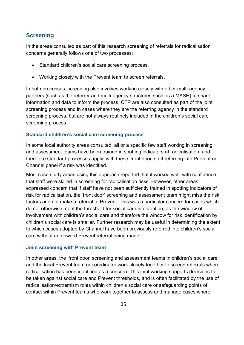#### <span id="page-34-0"></span>**Screening**

In the areas consulted as part of this research screening of referrals for radicalisation concerns generally follows one of two processes:

- Standard children's social care screening process.
- Working closely with the Prevent team to screen referrals.

In both processes, screening also involves working closely with other multi-agency partners (such as the referrer and multi-agency structures such as a MASH) to share information and data to inform the process. CTP are also consulted as part of the joint screening process and in cases where they are the referring agency in the standard screening process, but are not always routinely included in the children's social care screening process.

#### **Standard children's social care screening process**

In some local authority areas consulted, all or a specific few staff working in screening and assessment teams have been trained in spotting indicators of radicalisation, and therefore standard processes apply, with these 'front door' staff referring into Prevent or Channel panel if a risk was identified.

Most case study areas using this approach reported that it worked well, with confidence that staff were skilled in screening for radicalisation risks. However, other areas expressed concern that if staff have not been sufficiently trained in spotting indicators of risk for radicalisation, the 'front door' screening and assessment team might miss the risk factors and not make a referral to Prevent. This was a particular concern for cases which do not otherwise meet the threshold for social care intervention, as the window of involvement with children's social care and therefore the window for risk identification by children's social care is smaller. Further research may be useful in determining the extent to which cases adopted by Channel have been previously referred into children's social care without an onward Prevent referral being made.

#### **Joint screening with Prevent team**

In other areas, the 'front door' screening and assessment teams in children's social care and the local Prevent team or coordinator work closely together to screen referrals where radicalisation has been identified as a concern. This joint working supports decisions to be taken against social care and Prevent thresholds, and is often facilitated by the use of radicalisation/extremism roles within children's social care or safeguarding points of contact within Prevent teams who work together to assess and manage cases where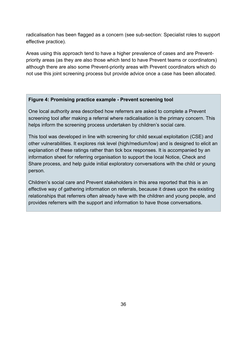radicalisation has been flagged as a concern (see sub-section: [Specialist roles to support](#page-41-0)  [effective practice\)](#page-41-0).

Areas using this approach tend to have a higher prevalence of cases and are Preventpriority areas (as they are also those which tend to have Prevent teams or coordinators) although there are also some Prevent-priority areas with Prevent coordinators which do not use this joint screening process but provide advice once a case has been allocated.

#### <span id="page-35-0"></span>**Figure 4: Promising practice example - Prevent screening tool**

One local authority area described how referrers are asked to complete a Prevent screening tool after making a referral where radicalisation is the primary concern. This helps inform the screening process undertaken by children's social care.

This tool was developed in line with screening for child sexual exploitation (CSE) and other vulnerabilities. It explores risk level (high/medium/low) and is designed to elicit an explanation of these ratings rather than tick box responses. It is accompanied by an information sheet for referring organisation to support the local Notice, Check and Share process, and help guide initial exploratory conversations with the child or young person.

Children's social care and Prevent stakeholders in this area reported that this is an effective way of gathering information on referrals, because it draws upon the existing relationships that referrers often already have with the children and young people, and provides referrers with the support and information to have those conversations.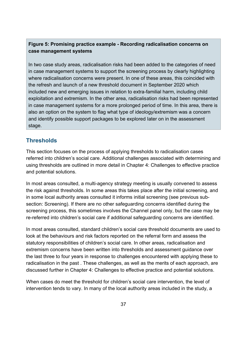## **Figure 5: Promising practice example - Recording radicalisation concerns on case management systems**

In two case study areas, radicalisation risks had been added to the categories of need in case management systems to support the screening process by clearly highlighting where radicalisation concerns were present. In one of these areas, this coincided with the refresh and launch of a new threshold document in September 2020 which included new and emerging issues in relation to extra-familial harm, including child exploitation and extremism. In the other area, radicalisation risks had been represented in case management systems for a more prolonged period of time. In this area, there is also an option on the system to flag what type of ideology/extremism was a concern and identify possible support packages to be explored Iater on in the assessment stage.

### **Thresholds**

This section focuses on the process of applying thresholds to radicalisation cases referred into children's social care. Additional challenges associated with determining and using thresholds are outlined in more detail in [Chapter 4: Challenges to effective practice](#page-52-0)  [and potential solutions.](#page-52-0)

In most areas consulted, a multi-agency strategy meeting is usually convened to assess the risk against thresholds. In some areas this takes place after the initial screening, and in some local authority areas consulted it informs initial screening (see previous subsection: [Screening\)](#page-34-0). If there are no other safeguarding concerns identified during the screening process, this sometimes involves the Channel panel only, but the case may be re-referred into children's social care if additional safeguarding concerns are identified.

In most areas consulted, standard children's social care threshold documents are used to look at the behaviours and risk factors reported on the referral form and assess the statutory responsibilities of children's social care. In other areas, radicalisation and extremism concerns have been written into thresholds and assessment guidance over the last three to four years in response to challenges encountered with applying these to radicalisation in the past . These challenges, as well as the merits of each approach, are discussed further in [Chapter 4: Challenges to effective practice and potential solutions.](#page-52-0)

When cases do meet the threshold for children's social care intervention, the level of intervention tends to vary. In many of the local authority areas included in the study, a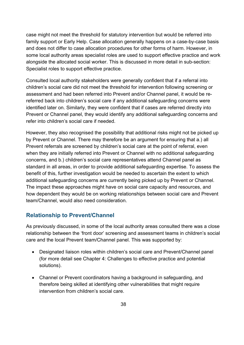case might not meet the threshold for statutory intervention but would be referred into family support or Early Help. Case allocation generally happens on a case-by-case basis and does not differ to case allocation procedures for other forms of harm. However, in some local authority areas specialist roles are used to support effective practice and work alongside the allocated social worker. This is discussed in more detail in sub-section: [Specialist roles to support effective practice.](#page-41-0)

Consulted local authority stakeholders were generally confident that if a referral into children's social care did not meet the threshold for intervention following screening or assessment and had been referred into Prevent and/or Channel panel, it would be rereferred back into children's social care if any additional safeguarding concerns were identified later on. Similarly, they were confident that if cases are referred directly into Prevent or Channel panel, they would identify any additional safeguarding concerns and refer into children's social care if needed.

However, they also recognised the possibility that additional risks might not be picked up by Prevent or Channel. There may therefore be an argument for ensuring that a.) all Prevent referrals are screened by children's social care at the point of referral, even when they are initially referred into Prevent or Channel with no additional safeguarding concerns, and b.) children's social care representatives attend Channel panel as standard in all areas, in order to provide additional safeguarding expertise. To assess the benefit of this, further investigation would be needed to ascertain the extent to which additional safeguarding concerns are currently being picked up by Prevent or Channel. The impact these approaches might have on social care capacity and resources, and how dependent they would be on working relationships between social care and Prevent team/Channel, would also need consideration.

## **Relationship to Prevent/Channel**

As previously discussed, in some of the local authority areas consulted there was a close relationship between the 'front door' screening and assessment teams in children's social care and the local Prevent team/Channel panel. This was supported by:

- Designated liaison roles within children's social care and Prevent/Channel panel (for more detail see [Chapter 4: Challenges to effective practice and potential](#page-52-0)  [solutions\)](#page-52-0).
- Channel or Prevent coordinators having a background in safeguarding, and therefore being skilled at identifying other vulnerabilities that might require intervention from children's social care.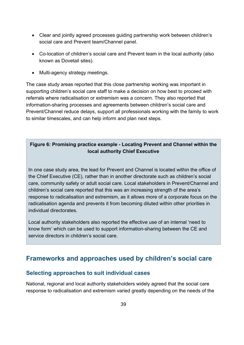- Clear and jointly agreed processes guiding partnership work between children's social care and Prevent team/Channel panel.
- Co-location of children's social care and Prevent team in the local authority (also known as Dovetail sites).
- Multi-agency strategy meetings.

The case study areas reported that this close partnership working was important in supporting children's social care staff to make a decision on how best to proceed with referrals where radicalisation or extremism was a concern. They also reported that information-sharing processes and agreements between children's social care and Prevent/Channel reduce delays, support all professionals working with the family to work to similar timescales, and can help inform and plan next steps.

## **Figure 6: Promising practice example - Locating Prevent and Channel within the local authority Chief Executive**

In one case study area, the lead for Prevent and Channel is located within the office of the Chief Executive (CE), rather than in another directorate such as children's social care, community safety or adult social care. Local stakeholders in Prevent/Channel and children's social care reported that this was an increasing strength of the area's response to radicalisation and extremism, as it allows more of a corporate focus on the radicalisation agenda and prevents it from becoming diluted within other priorities in individual directorates.

Local authority stakeholders also reported the effective use of an internal 'need to know form' which can be used to support information-sharing between the CE and service directors in children's social care.

# <span id="page-38-0"></span>**Frameworks and approaches used by children's social care**

## **Selecting approaches to suit individual cases**

National, regional and local authority stakeholders widely agreed that the social care response to radicalisation and extremism varied greatly depending on the needs of the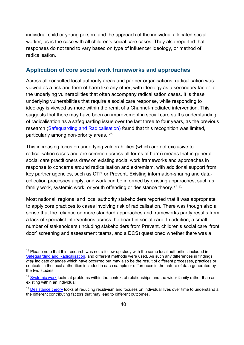individual child or young person, and the approach of the individual allocated social worker, as is the case with all children's social care cases. They also reported that responses do not tend to vary based on type of influencer ideology, or method of radicalisation.

### **Application of core social work frameworks and approaches**

Across all consulted local authority areas and partner organisations, radicalisation was viewed as a risk and form of harm like any other, with ideology as a secondary factor to the underlying vulnerabilities that often accompany radicalisation cases. It is these underlying vulnerabilities that require a social care response, while responding to ideology is viewed as more within the remit of a Channel-mediated intervention. This suggests that there may have been an improvement in social care staff's understanding of radicalisation as a safeguarding issue over the last three to four years, as the previous research [\(Safeguarding and Radicalisation\)](https://assets.publishing.service.gov.uk/government/uploads/system/uploads/attachment_data/file/635262/Safeguarding_and_Radicalisation.pdf) found that this recognition was limited, particularly among non-priority areas. [26](#page-39-0) 

This increasing focus on underlying vulnerabilities (which are not exclusive to radicalisation cases and are common across all forms of harm) means that in general social care practitioners draw on existing social work frameworks and approaches in response to concerns around radicalisation and extremism, with additional support from key partner agencies, such as CTP or Prevent. Existing information-sharing and datacollection processes apply, and work can be informed by existing approaches, such as family work, systemic work, or youth offending or desistance theory.<sup>[27](#page-39-1)\_[28](#page-39-2)</sup>

Most national, regional and local authority stakeholders reported that it was appropriate to apply core practices to cases involving risk of radicalisation. There was though also a sense that the reliance on more standard approaches and frameworks partly results from a lack of specialist interventions across the board in social care. In addition, a small number of stakeholders (including stakeholders from Prevent, children's social care 'front door' screening and assessment teams, and a DCS) questioned whether there was a

<span id="page-39-0"></span> $26$  Please note that this research was not a follow-up study with the same local authorities included in [Safeguarding and Radicalisation,](https://assets.publishing.service.gov.uk/government/uploads/system/uploads/attachment_data/file/635262/Safeguarding_and_Radicalisation.pdf) and different methods were used. As such any differences in findings *may* indicate changes which have occurred but may also be the result of different processes, practices or contexts in the local authorities included in each sample or differences in the nature of data generated by the two studies.

<span id="page-39-1"></span><sup>&</sup>lt;sup>27</sup> [Systemic work](https://thefrontline.org.uk/systemic-practice-model-theory/) looks at problems within the context of relationships and the wider family rather than as existing within an individual.

<span id="page-39-2"></span><sup>&</sup>lt;sup>28</sup> [Desistance theory](https://www.gov.uk/guidance/desistance#:%7E:text=Desistance%20is%20the%20word%20for,Each%20individual) looks at reducing recidivism and focuses on individual lives over time to understand all the different contributing factors that may lead to different outcomes.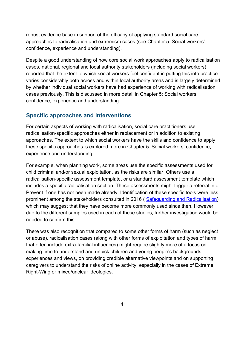robust evidence base in support of the efficacy of applying standard social care approaches to radicalisation and extremism cases (see [Chapter 5: Social workers'](#page-69-0)  [confidence, experience and understanding\)](#page-69-0).

Despite a good understanding of how core social work approaches apply to radicalisation cases, national, regional and local authority stakeholders (including social workers) reported that the extent to which social workers feel confident in putting this into practice varies considerably both across and within local authority areas and is largely determined by whether individual social workers have had experience of working with radicalisation cases previously. This is discussed in more detail in [Chapter 5: Social workers'](#page-69-0)  [confidence, experience and understanding.](#page-69-0)

### **Specific approaches and interventions**

For certain aspects of working with radicalisation, social care practitioners use radicalisation-specific approaches either in replacement or in addition to existing approaches. The extent to which social workers have the skills and confidence to apply these specific approaches is explored more in [Chapter 5: Social workers' confidence,](#page-69-0)  [experience and understanding.](#page-69-0)

For example, when planning work, some areas use the specific assessments used for child criminal and/or sexual exploitation, as the risks are similar. Others use a radicalisation-specific assessment template, or a standard assessment template which includes a specific radicalisation section. These assessments might trigger a referral into Prevent if one has not been made already. Identification of these specific tools were less prominent among the stakeholders consulted in 2016 ( [Safeguarding and Radicalisation\)](https://assets.publishing.service.gov.uk/government/uploads/system/uploads/attachment_data/file/635262/Safeguarding_and_Radicalisation.pdf) which may suggest that they have become more commonly used since then. However, due to the different samples used in each of these studies, further investigation would be needed to confirm this.

There was also recognition that compared to some other forms of harm (such as neglect or abuse), radicalisation cases (along with other forms of exploitation and types of harm that often include extra-familial influences) might require slightly more of a focus on making time to understand and unpick children and young people's backgrounds, experiences and views, on providing credible alternative viewpoints and on supporting caregivers to understand the risks of online activity, especially in the cases of Extreme Right-Wing or mixed/unclear ideologies.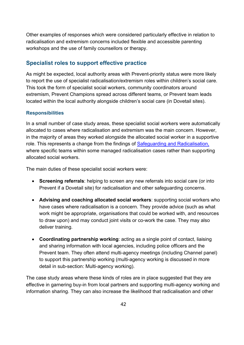Other examples of responses which were considered particularly effective in relation to radicalisation and extremism concerns included flexible and accessible parenting workshops and the use of family counsellors or therapy.

### <span id="page-41-0"></span>**Specialist roles to support effective practice**

As might be expected, local authority areas with Prevent-priority status were more likely to report the use of specialist radicalisation/extremism roles within children's social care. This took the form of specialist social workers, community coordinators around extremism, Prevent Champions spread across different teams, or Prevent team leads located within the local authority alongside children's social care (in Dovetail sites).

#### **Responsibilities**

In a small number of case study areas, these specialist social workers were automatically allocated to cases where radicalisation and extremism was the main concern. However, in the majority of areas they worked alongside the allocated social worker in a supportive role. This represents a change from the findings of [Safeguarding and Radicalisation,](https://assets.publishing.service.gov.uk/government/uploads/system/uploads/attachment_data/file/635262/Safeguarding_and_Radicalisation.pdf) where specific teams within some managed radicalisation cases rather than supporting allocated social workers.

The main duties of these specialist social workers were:

- **Screening referrals**: helping to screen any new referrals into social care (or into Prevent if a Dovetail site) for radicalisation and other safeguarding concerns.
- **Advising and coaching allocated social workers**: supporting social workers who have cases where radicalisation is a concern. They provide advice (such as what work might be appropriate, organisations that could be worked with, and resources to draw upon) and may conduct joint visits or co-work the case. They may also deliver training.
- **Coordinating partnership working**: acting as a single point of contact, liaising and sharing information with local agencies, including police officers and the Prevent team. They often attend multi-agency meetings (including Channel panel) to support this partnership working (multi-agency working is discussed in more detail in sub-section: [Multi-agency working\)](#page-45-0).

The case study areas where these kinds of roles are in place suggested that they are effective in garnering buy-in from local partners and supporting multi-agency working and information sharing. They can also increase the likelihood that radicalisation and other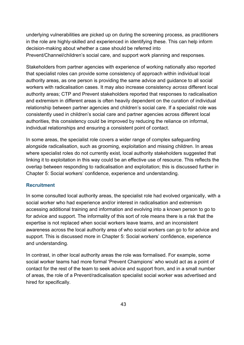underlying vulnerabilities are picked up on during the screening process, as practitioners in the role are highly-skilled and experienced in identifying these. This can help inform decision-making about whether a case should be referred into Prevent/Channel/children's social care, and support work planning and responses.

Stakeholders from partner agencies with experience of working nationally also reported that specialist roles can provide some consistency of approach within individual local authority areas, as one person is providing the same advice and guidance to all social workers with radicalisation cases. It may also increase consistency *across* different local authority areas; CTP and Prevent stakeholders reported that responses to radicalisation and extremism in different areas is often heavily dependent on the curation of individual relationship between partner agencies and children's social care. If a specialist role was consistently used in children's social care and partner agencies across different local authorities, this consistency could be improved by reducing the reliance on informal, individual relationships and ensuring a consistent point of contact.

In some areas, the specialist role covers a wider range of complex safeguarding alongside radicalisation, such as grooming, exploitation and missing children. In areas where specialist roles do not currently exist, local authority stakeholders suggested that linking it to exploitation in this way could be an effective use of resource. This reflects the overlap between responding to radicalisation and exploitation; this is discussed further in [Chapter 5: Social workers' confidence, experience and understanding.](#page-69-0)

### **Recruitment**

In some consulted local authority areas, the specialist role had evolved organically, with a social worker who had experience and/or interest in radicalisation and extremism accessing additional training and information and evolving into a known person to go to for advice and support. The informality of this sort of role means there is a risk that the expertise is not replaced when social workers leave teams, and an inconsistent awareness across the local authority area of who social workers can go to for advice and support. This is discussed more in [Chapter 5: Social workers' confidence, experience](#page-69-0)  [and understanding.](#page-69-0)

In contrast, in other local authority areas the role was formalised. For example, some social worker teams had more formal 'Prevent Champions' who would act as a point of contact for the rest of the team to seek advice and support from, and in a small number of areas, the role of a Prevent/radicalisation specialist social worker was advertised and hired for specifically.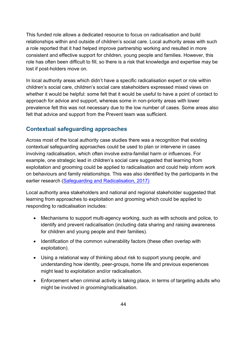This funded role allows a dedicated resource to focus on radicalisation and build relationships within and outside of children's social care. Local authority areas with such a role reported that it had helped improve partnership working and resulted in more consistent and effective support for children, young people and families. However, this role has often been difficult to fill, so there is a risk that knowledge and expertise may be lost if post-holders move on.

In local authority areas which didn't have a specific radicalisation expert or role within children's social care, children's social care stakeholders expressed mixed views on whether it would be helpful: some felt that it would be useful to have a point of contact to approach for advice and support, whereas some in non-priority areas with lower prevalence felt this was not necessary due to the low number of cases. Some areas also felt that advice and support from the Prevent team was sufficient.

## <span id="page-43-0"></span>**Contextual safeguarding approaches**

Across most of the local authority case studies there was a recognition that existing contextual safeguarding approaches could be used to plan or intervene in cases involving radicalisation, which often involve extra-familial harm or influences. For example, one strategic lead in children's social care suggested that learning from exploitation and grooming could be applied to radicalisation and could help inform work on behaviours and family relationships. This was also identified by the participants in the earlier research [\(Safeguarding and Radicalisation,](https://assets.publishing.service.gov.uk/government/uploads/system/uploads/attachment_data/file/635262/Safeguarding_and_Radicalisation.pdf) 2017)

Local authority area stakeholders and national and regional stakeholder suggested that learning from approaches to exploitation and grooming which could be applied to responding to radicalisation includes:

- Mechanisms to support multi-agency working, such as with schools and police, to identify and prevent radicalisation (including data sharing and raising awareness for children and young people and their families).
- Identification of the common vulnerability factors (these often overlap with exploitation).
- Using a relational way of thinking about risk to support young people, and understanding how identity, peer-groups, home life and previous experiences might lead to exploitation and/or radicalisation.
- Enforcement when criminal activity is taking place, in terms of targeting adults who might be involved in grooming/radicalisation.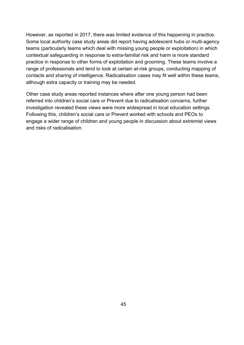However, as reported in 2017, there was limited evidence of this happening in practice. Some local authority case study areas did report having adolescent hubs or multi-agency teams (particularly teams which deal with missing young people or exploitation) in which contextual safeguarding in response to extra-familial risk and harm is more standard practice in response to other forms of exploitation and grooming. These teams involve a range of professionals and tend to look at certain at-risk groups, conducting mapping of contacts and sharing of intelligence. Radicalisation cases may fit well within these teams, although extra capacity or training may be needed.

Other case study areas reported instances where after one young person had been referred into children's social care or Prevent due to radicalisation concerns, further investigation revealed these views were more widespread in local education settings. Following this, children's social care or Prevent worked with schools and PEOs to engage a wider range of children and young people in discussion about extremist views and risks of radicalisation.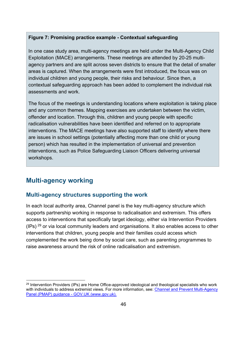### **Figure 7: Promising practice example - Contextual safeguarding**

In one case study area, multi-agency meetings are held under the Multi-Agency Child Exploitation (MACE) arrangements. These meetings are attended by 20-25 multiagency partners and are split across seven districts to ensure that the detail of smaller areas is captured. When the arrangements were first introduced, the focus was on individual children and young people, their risks and behaviour. Since then, a contextual safeguarding approach has been added to complement the individual risk assessments and work.

The focus of the meetings is understanding locations where exploitation is taking place and any common themes. Mapping exercises are undertaken between the victim, offender and location. Through this, children and young people with specific radicalisation vulnerabilities have been identified and referred on to appropriate interventions. The MACE meetings have also supported staff to identify where there are issues in school settings (potentially affecting more than one child or young person) which has resulted in the implementation of universal and prevention interventions, such as Police Safeguarding Liaison Officers delivering universal workshops.

# <span id="page-45-0"></span>**Multi-agency working**

### **Multi-agency structures supporting the work**

In each local authority area, Channel panel is the key multi-agency structure which supports partnership working in response to radicalisation and extremism. This offers access to interventions that specifically target ideology, either via Intervention Providers (IPs)  $^{29}$  or via local community leaders and organisations. It also enables access to other interventions that children, young people and their families could access which complemented the work being done by social care, such as parenting programmes to raise awareness around the risk of online radicalisation and extremism.

<span id="page-45-1"></span><sup>&</sup>lt;sup>29</sup> Intervention Providers (IPs) are Home Office-approved ideological and theological specialists who work with individuals to address extremist views. For more information, see: [Channel and Prevent Multi-Agency](https://www.gov.uk/government/publications/channel-and-prevent-multi-agency-panel-pmap-guidance)  [Panel \(PMAP\) guidance - GOV.UK \(www.gov.uk\).](https://www.gov.uk/government/publications/channel-and-prevent-multi-agency-panel-pmap-guidance)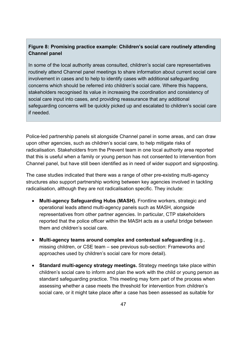### **Figure 8: Promising practice example: Children's social care routinely attending Channel panel**

In some of the local authority areas consulted, children's social care representatives routinely attend Channel panel meetings to share information about current social care involvement in cases and to help to identify cases with additional safeguarding concerns which should be referred into children's social care. Where this happens, stakeholders recognised its value in increasing the coordination and consistency of social care input into cases, and providing reassurance that any additional safeguarding concerns will be quickly picked up and escalated to children's social care if needed.

Police-led partnership panels sit alongside Channel panel in some areas, and can draw upon other agencies, such as children's social care, to help mitigate risks of radicalisation. Stakeholders from the Prevent team in one local authority area reported that this is useful when a family or young person has not consented to intervention from Channel panel, but have still been identified as in need of wider support and signposting.

The case studies indicated that there was a range of other pre-existing multi-agency structures also support partnership working between key agencies involved in tackling radicalisation, although they are not radicalisation specific. They include:

- **Multi-agency Safeguarding Hubs (MASH).** Frontline workers, strategic and operational leads attend multi-agency panels such as MASH, alongside representatives from other partner agencies. In particular, CTP stakeholders reported that the police officer within the MASH acts as a useful bridge between them and children's social care.
- **Multi-agency teams around complex and contextual safeguarding** (e.g., missing children, or CSE team – see previous sub-section: [Frameworks and](#page-38-0)  [approaches used by children's social care](#page-38-0) for more detail).
- **Standard multi-agency strategy meetings.** Strategy meetings take place within children's social care to inform and plan the work with the child or young person as standard safeguarding practice. This meeting may form part of the process when assessing whether a case meets the threshold for intervention from children's social care, or it might take place after a case has been assessed as suitable for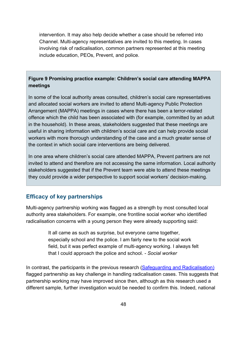intervention. It may also help decide whether a case should be referred into Channel. Multi-agency representatives are invited to this meeting. In cases involving risk of radicalisation, common partners represented at this meeting include education, PEOs, Prevent, and police.

### **Figure 9 Promising practice example: Children's social care attending MAPPA meetings**

In some of the local authority areas consulted, children's social care representatives and allocated social workers are invited to attend Multi-agency Public Protection Arrangement (MAPPA) meetings in cases where there has been a terror-related offence which the child has been associated with (for example, committed by an adult in the household). In these areas, stakeholders suggested that these meetings are useful in sharing information with children's social care and can help provide social workers with more thorough understanding of the case and a much greater sense of the context in which social care interventions are being delivered.

In one area where children's social care attended MAPPA, Prevent partners are not invited to attend and therefore are not accessing the same information. Local authority stakeholders suggested that if the Prevent team were able to attend these meetings they could provide a wider perspective to support social workers' decision-making.

### **Efficacy of key partnerships**

Multi-agency partnership working was flagged as a strength by most consulted local authority area stakeholders. For example, one frontline social worker who identified radicalisation concerns with a young person they were already supporting said:

> It all came as such as surprise, but everyone came together, especially school and the police. I am fairly new to the social work field, but it was perfect example of multi-agency working. I always felt that I could approach the police and school. *- Social worker*

In contrast, the participants in the previous research [\(Safeguarding and Radicalisation\)](https://assets.publishing.service.gov.uk/government/uploads/system/uploads/attachment_data/file/635262/Safeguarding_and_Radicalisation.pdf) flagged partnership as key challenge in handling radicalisation cases. This suggests that partnership working may have improved since then, although as this research used a different sample, further investigation would be needed to confirm this. Indeed, national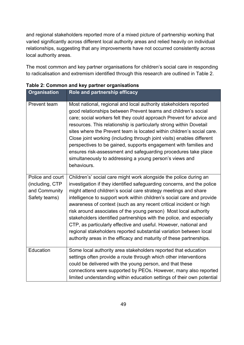and regional stakeholders reported more of a mixed picture of partnership working that varied significantly across different local authority areas and relied heavily on individual relationships, suggesting that any improvements have not occurred consistently across local authority areas.

The most common and key partner organisations for children's social care in responding to radicalisation and extremism identified through this research are outlined in [Table 2.](#page-48-0)

| <b>Organisation</b>                                                   | Role and partnership efficacy                                                                                                                                                                                                                                                                                                                                                                                                                                                                                                                                                                                                                                                                                               |
|-----------------------------------------------------------------------|-----------------------------------------------------------------------------------------------------------------------------------------------------------------------------------------------------------------------------------------------------------------------------------------------------------------------------------------------------------------------------------------------------------------------------------------------------------------------------------------------------------------------------------------------------------------------------------------------------------------------------------------------------------------------------------------------------------------------------|
| Prevent team                                                          | Most national, regional and local authority stakeholders reported<br>good relationships between Prevent teams and children's social<br>care; social workers felt they could approach Prevent for advice and<br>resources. This relationship is particularly strong within Dovetail<br>sites where the Prevent team is located within children's social care.<br>Close joint working (including through joint visits) enables different<br>perspectives to be gained, supports engagement with families and<br>ensures risk-assessment and safeguarding procedures take place<br>simultaneously to addressing a young person's views and<br>behaviours.                                                                      |
| Police and court<br>(including, CTP<br>and Community<br>Safety teams) | Children's' social care might work alongside the police during an<br>investigation if they identified safeguarding concerns, and the police<br>might attend children's social care strategy meetings and share<br>intelligence to support work within children's social care and provide<br>awareness of context (such as any recent critical incident or high<br>risk around associates of the young person) Most local authority<br>stakeholders identified partnerships with the police, and especially<br>CTP, as particularly effective and useful. However, national and<br>regional stakeholders reported substantial variation between local<br>authority areas in the efficacy and maturity of these partnerships. |
| Education                                                             | Some local authority area stakeholders reported that education<br>settings often provide a route through which other interventions<br>could be delivered with the young person, and that these<br>connections were supported by PEOs. However, many also reported<br>limited understanding within education settings of their own potential                                                                                                                                                                                                                                                                                                                                                                                 |

### <span id="page-48-0"></span>**Table 2: Common and key partner organisations**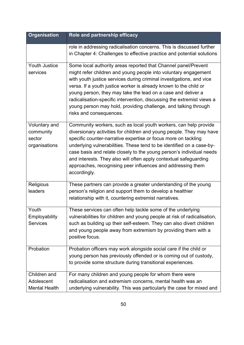| <b>Organisation</b>                                   | Role and partnership efficacy                                                                                                                                                                                                                                                                                                                                                                                                                                                                                          |
|-------------------------------------------------------|------------------------------------------------------------------------------------------------------------------------------------------------------------------------------------------------------------------------------------------------------------------------------------------------------------------------------------------------------------------------------------------------------------------------------------------------------------------------------------------------------------------------|
|                                                       | role in addressing radicalisation concerns. This is discussed further<br>in Chapter 4: Challenges to effective practice and potential solutions                                                                                                                                                                                                                                                                                                                                                                        |
| <b>Youth Justice</b><br>services                      | Some local authority areas reported that Channel panel/Prevent<br>might refer children and young people into voluntary engagement<br>with youth justice services during criminal investigations, and vice<br>versa. If a youth justice worker is already known to the child or<br>young person, they may take the lead on a case and deliver a<br>radicalisation-specific intervention, discussing the extremist views a<br>young person may hold, providing challenge, and talking through<br>risks and consequences. |
| Voluntary and<br>community<br>sector<br>organisations | Community workers, such as local youth workers, can help provide<br>diversionary activities for children and young people. They may have<br>specific counter-narrative expertise or focus more on tackling<br>underlying vulnerabilities. These tend to be identified on a case-by-<br>case basis and relate closely to the young person's individual needs<br>and interests. They also will often apply contextual safeguarding<br>approaches, recognising peer influences and addressing them<br>accordingly.        |
| Religious<br>leaders                                  | These partners can provide a greater understanding of the young<br>person's religion and support them to develop a healthier<br>relationship with it, countering extremist narratives.                                                                                                                                                                                                                                                                                                                                 |
| Youth<br>Employability<br><b>Services</b>             | These services can often help tackle some of the underlying<br>vulnerabilities for children and young people at risk of radicalisation,<br>such as building up their self-esteem. They can also divert children<br>and young people away from extremism by providing them with a<br>positive focus.                                                                                                                                                                                                                    |
| Probation                                             | Probation officers may work alongside social care if the child or<br>young person has previously offended or is coming out of custody,<br>to provide some structure during transitional experiences.                                                                                                                                                                                                                                                                                                                   |
| Children and<br>Adolescent<br><b>Mental Health</b>    | For many children and young people for whom there were<br>radicalisation and extremism concerns, mental health was an<br>underlying vulnerability. This was particularly the case for mixed and                                                                                                                                                                                                                                                                                                                        |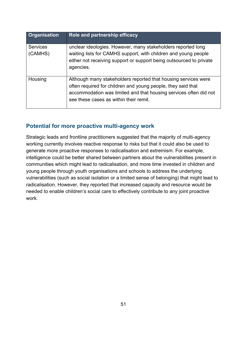| <b>Organisation</b>        | Role and partnership efficacy                                                                                                                                                                                                                 |
|----------------------------|-----------------------------------------------------------------------------------------------------------------------------------------------------------------------------------------------------------------------------------------------|
| <b>Services</b><br>(CAMHS) | unclear ideologies. However, many stakeholders reported long<br>waiting lists for CAMHS support, with children and young people<br>either not receiving support or support being outsourced to private<br>agencies.                           |
| Housing                    | Although many stakeholders reported that housing services were<br>often required for children and young people, they said that<br>accommodation was limited and that housing services often did not<br>see these cases as within their remit. |

## **Potential for more proactive multi-agency work**

Strategic leads and frontline practitioners suggested that the majority of multi-agency working currently involves reactive response to risks but that it could also be used to generate more proactive responses to radicalisation and extremism. For example, intelligence could be better shared between partners about the vulnerabilities present in communities which might lead to radicalisation, and more time invested in children and young people through youth organisations and schools to address the underlying vulnerabilities (such as social isolation or a limited sense of belonging) that might lead to radicalisation. However, they reported that increased capacity and resource would be needed to enable children's social care to effectively contribute to any joint proactive work.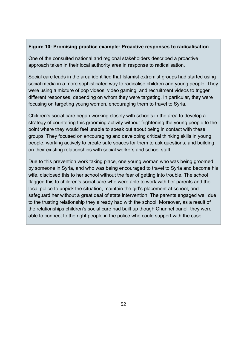#### **Figure 10: Promising practice example: Proactive responses to radicalisation**

One of the consulted national and regional stakeholders described a proactive approach taken in their local authority area in response to radicalisation.

Social care leads in the area identified that Islamist extremist groups had started using social media in a more sophisticated way to radicalise children and young people. They were using a mixture of pop videos, video gaming, and recruitment videos to trigger different responses, depending on whom they were targeting. In particular, they were focusing on targeting young women, encouraging them to travel to Syria.

Children's social care began working closely with schools in the area to develop a strategy of countering this grooming activity without frightening the young people to the point where they would feel unable to speak out about being in contact with these groups. They focused on encouraging and developing critical thinking skills in young people, working actively to create safe spaces for them to ask questions, and building on their existing relationships with social workers and school staff.

Due to this prevention work taking place, one young woman who was being groomed by someone in Syria, and who was being encouraged to travel to Syria and become his wife, disclosed this to her school without the fear of getting into trouble. The school flagged this to children's social care who were able to work with her parents and the local police to unpick the situation, maintain the girl's placement at school, and safeguard her without a great deal of state intervention. The parents engaged well due to the trusting relationship they already had with the school. Moreover, as a result of the relationships children's social care had built up though Channel panel, they were able to connect to the right people in the police who could support with the case.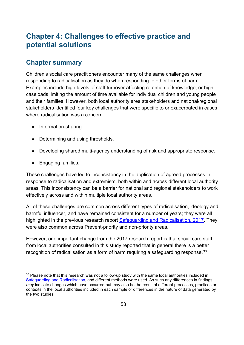# <span id="page-52-0"></span>**Chapter 4: Challenges to effective practice and potential solutions**

## **Chapter summary**

Children's social care practitioners encounter many of the same challenges when responding to radicalisation as they do when responding to other forms of harm. Examples include high levels of staff turnover affecting retention of knowledge, or high caseloads limiting the amount of time available for individual children and young people and their families. However, both local authority area stakeholders and national/regional stakeholders identified four key challenges that were specific to or exacerbated in cases where radicalisation was a concern:

- Information-sharing.
- Determining and using thresholds.
- Developing shared multi-agency understanding of risk and appropriate response.
- Engaging families.

These challenges have led to inconsistency in the application of agreed processes in response to radicalisation and extremism, both within and across different local authority areas. This inconsistency can be a barrier for national and regional stakeholders to work effectively across and within multiple local authority areas.

All of these challenges are common across different types of radicalisation, ideology and harmful influencer, and have remained consistent for a number of years; they were all highlighted in the previous research report [Safeguarding and Radicalisation,](https://assets.publishing.service.gov.uk/government/uploads/system/uploads/attachment_data/file/635262/Safeguarding_and_Radicalisation.pdf) 2017. They were also common across Prevent-priority and non-priority areas.

However, one important change from the 2017 research report is that social care staff from local authorities consulted in this study reported that in general there is a better recognition of radicalisation as a form of harm requiring a safeguarding response.<sup>30</sup>

<span id="page-52-1"></span><sup>&</sup>lt;sup>30</sup> Please note that this research was not a follow-up study with the same local authorities included in [Safeguarding and Radicalisation,](https://assets.publishing.service.gov.uk/government/uploads/system/uploads/attachment_data/file/635262/Safeguarding_and_Radicalisation.pdf) and different methods were used. As such any differences in findings *may* indicate changes which have occurred but may also be the result of different processes, practices or contexts in the local authorities included in each sample or differences in the nature of data generated by the two studies.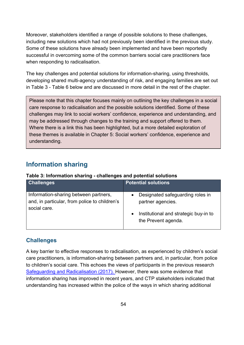Moreover, stakeholders identified a range of possible solutions to these challenges, including new solutions which had not previously been identified in the previous study. Some of these solutions have already been implemented and have been reportedly successful in overcoming some of the common barriers social care practitioners face when responding to radicalisation.

The key challenges and potential solutions for information-sharing, using thresholds, developing shared multi-agency understanding of risk, and engaging families are set out in [Table 3](#page-53-0) - [Table 6](#page-64-0) below and are discussed in more detail in the rest of the chapter.

Please note that this chapter focuses mainly on outlining the key challenges in a social care response to radicalisation and the possible solutions identified. Some of these challenges may link to social workers' confidence, experience and understanding, and may be addressed through changes to the training and support offered to them. Where there is a link this has been highlighted, but a more detailed exploration of these themes is available in [Chapter 5: Social workers' confidence, experience and](#page-69-0)  [understanding.](#page-69-0)

# <span id="page-53-1"></span>**Information sharing**

<span id="page-53-0"></span>

| Table 3: Information sharing - challenges and potential solutions |  |
|-------------------------------------------------------------------|--|
|-------------------------------------------------------------------|--|

| <b>Challenges</b>                                                                                      | <b>Potential solutions</b>                                                                                              |
|--------------------------------------------------------------------------------------------------------|-------------------------------------------------------------------------------------------------------------------------|
| Information-sharing between partners,<br>and, in particular, from police to children's<br>social care. | Designated safeguarding roles in<br>partner agencies.<br>• Institutional and strategic buy-in to<br>the Prevent agenda. |

## **Challenges**

A key barrier to effective responses to radicalisation, as experienced by children's social care practitioners, is information-sharing between partners and, in particular, from police to children's social care. This echoes the views of participants in the previous research [Safeguarding and Radicalisation](https://assets.publishing.service.gov.uk/government/uploads/system/uploads/attachment_data/file/635262/Safeguarding_and_Radicalisation.pdf) (2017). However, there was some evidence that information sharing has improved in recent years, and CTP stakeholders indicated that understanding has increased within the police of the ways in which sharing additional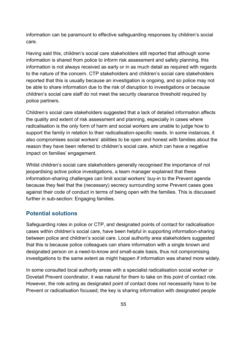information can be paramount to effective safeguarding responses by children's social care.

Having said this, children's social care stakeholders still reported that although some information is shared from police to inform risk assessment and safety planning, this information is not always received as early or in as much detail as required with regards to the nature of the concern. CTP stakeholders and children's social care stakeholders reported that this is usually because an investigation is ongoing, and so police may not be able to share information due to the risk of disruption to investigations or because children's social care staff do not meet the security clearance threshold required by police partners.

Children's social care stakeholders suggested that a lack of detailed information affects the quality and extent of risk assessment and planning, especially in cases where radicalisation is the only form of harm and social workers are unable to judge how to support the family in relation to their radicalisation-specific needs. In some instances, it also compromises social workers' abilities to be open and honest with families about the reason they have been referred to children's social care, which can have a negative impact on families' engagement.

Whilst children's social care stakeholders generally recognised the importance of not jeopardising active police investigations, a team manager explained that these information-sharing challenges can limit social workers' buy-in to the Prevent agenda because they feel that the (necessary) secrecy surrounding some Prevent cases goes against their code of conduct in terms of being open with the families. This is discussed further in sub-section: [Engaging families.](#page-64-1)

### **Potential solutions**

Safeguarding roles in police or CTP, and designated points of contact for radicalisation cases within children's social care, have been helpful in supporting information-sharing between police and children's social care. Local authority area stakeholders suggested that this is because police colleagues can share information with a single known and designated person on a need-to-know and small-scale basis, thus not compromising investigations to the same extent as might happen if information was shared more widely.

In some consulted local authority areas with a specialist radicalisation social worker or Dovetail Prevent coordinator, it was natural for them to take on this point of contact role. However, the role acting as designated point of contact does not necessarily have to be Prevent or radicalisation focused; the key is sharing information with designated people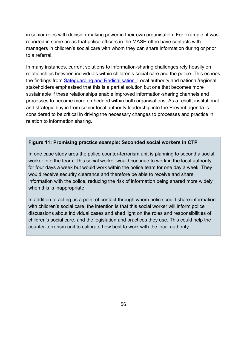in senior roles with decision-making power in their own organisation. For example, it was reported in some areas that police officers in the MASH often have contacts with managers in children's social care with whom they can share information during or prior to a referral.

In many instances, current solutions to information-sharing challenges rely heavily on relationships between individuals within children's social care and the police. This echoes the findings from [Safeguarding and Radicalisation.](https://assets.publishing.service.gov.uk/government/uploads/system/uploads/attachment_data/file/635262/Safeguarding_and_Radicalisation.pdf) Local authority and national/regional stakeholders emphasised that this is a partial solution but one that becomes more sustainable if these relationships enable improved information-sharing channels and processes to become more embedded within both organisations. As a result, institutional and strategic buy in from senior local authority leadership into the Prevent agenda is considered to be critical in driving the necessary changes to processes and practice in relation to information sharing.

#### **Figure 11: Promising practice example: Seconded social workers in CTP**

In one case study area the police counter-terrorism unit is planning to second a social worker into the team. This social worker would continue to work in the local authority for four days a week but would work within the police team for one day a week. They would receive security clearance and therefore be able to receive and share information with the police, reducing the risk of information being shared more widely when this is inappropriate.

In addition to acting as a point of contact through whom police could share information with children's social care, the intention is that this social worker will inform police discussions about individual cases and shed light on the roles and responsibilities of children's social care, and the legislation and practices they use. This could help the counter-terrorism unit to calibrate how best to work with the local authority.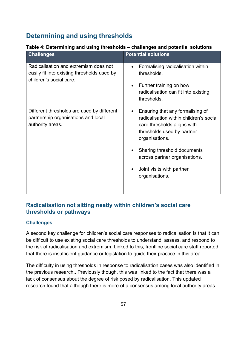# **Determining and using thresholds**

| <b>Challenges</b>                                                                                               | <b>Potential solutions</b>                                                                                                                                                                                                                                                                          |
|-----------------------------------------------------------------------------------------------------------------|-----------------------------------------------------------------------------------------------------------------------------------------------------------------------------------------------------------------------------------------------------------------------------------------------------|
| Radicalisation and extremism does not<br>easily fit into existing thresholds used by<br>children's social care. | Formalising radicalisation within<br>$\bullet$<br>thresholds.<br>Further training on how<br>$\bullet$<br>radicalisation can fit into existing<br>thresholds.                                                                                                                                        |
| Different thresholds are used by different<br>partnership organisations and local<br>authority areas.           | Ensuring that any formalising of<br>$\bullet$<br>radicalisation within children's social<br>care thresholds aligns with<br>thresholds used by partner<br>organisations.<br>Sharing threshold documents<br>across partner organisations.<br>Joint visits with partner<br>$\bullet$<br>organisations. |
|                                                                                                                 |                                                                                                                                                                                                                                                                                                     |

## **Table 4: Determining and using thresholds – challenges and potential solutions**

## **Radicalisation not sitting neatly within children's social care thresholds or pathways**

### **Challenges**

A second key challenge for children's social care responses to radicalisation is that it can be difficult to use existing social care thresholds to understand, assess, and respond to the risk of radicalisation and extremism. Linked to this, frontline social care staff reported that there is insufficient guidance or legislation to guide their practice in this area.

The difficulty in using thresholds in response to radicalisation cases was also identified in the previous research.. Previously though, this was linked to the fact that there was a lack of consensus about the degree of risk posed by radicalisation. This updated research found that although there is more of a consensus among local authority areas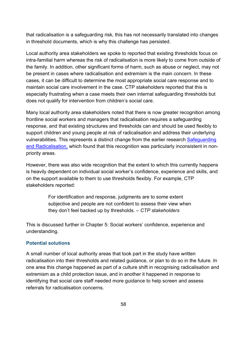that radicalisation is a safeguarding risk, this has not necessarily translated into changes in threshold documents, which is why this challenge has persisted.

Local authority area stakeholders we spoke to reported that existing thresholds focus on intra-familial harm whereas the risk of radicalisation is more likely to come from outside of the family. In addition, other significant forms of harm, such as abuse or neglect, may not be present in cases where radicalisation and extremism is the main concern. In these cases, it can be difficult to determine the most appropriate social care response and to maintain social care involvement in the case. CTP stakeholders reported that this is especially frustrating when a case meets their own internal safeguarding thresholds but does not qualify for intervention from children's social care.

Many local authority area stakeholders noted that there is now greater recognition among frontline social workers and managers that radicalisation requires a safeguarding response, and that existing structures and thresholds can and should be used flexibly to support children and young people at risk of radicalisation and address their underlying vulnerabilities. This represents a distinct change from the earlier research Safeguarding [and Radicalisation,](https://assets.publishing.service.gov.uk/government/uploads/system/uploads/attachment_data/file/635262/Safeguarding_and_Radicalisation.pdf) which found that this recognition was particularly inconsistent in nonpriority areas.

However, there was also wide recognition that the extent to which this currently happens is heavily dependent on individual social worker's confidence, experience and skills, and on the support available to them to use thresholds flexibly. For example, CTP stakeholders reported:

> For identification and response, judgments are to some extent subjective and people are not confident to assess their view when they don't feel backed up by thresholds. *– CTP stakeholders*

This is discussed further in [Chapter 5: Social workers' confidence, experience and](#page-69-0)  [understanding.](#page-69-0)

#### **Potential solutions**

A small number of local authority areas that took part in the study have written radicalisation into their thresholds and related guidance, or plan to do so in the future. In one area this change happened as part of a culture shift in recognising radicalisation and extremism as a child protection issue, and in another it happened in response to identifying that social care staff needed more guidance to help screen and assess referrals for radicalisation concerns.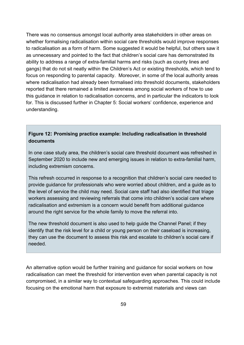There was no consensus amongst local authority area stakeholders in other areas on whether formalising radicalisation within social care thresholds would improve responses to radicalisation as a form of harm. Some suggested it would be helpful, but others saw it as unnecessary and pointed to the fact that children's social care has demonstrated its ability to address a range of extra-familial harms and risks (such as county lines and gangs) that do not sit neatly within the Children's Act or existing thresholds, which tend to focus on responding to parental capacity. Moreover, in some of the local authority areas where radicalisation had already been formalised into threshold documents, stakeholders reported that there remained a limited awareness among social workers of how to use this guidance in relation to radicalisation concerns, and in particular the indicators to look for. This is discussed further in [Chapter 5: Social workers' confidence, experience and](#page-69-0)  [understanding.](#page-69-0)

## **Figure 12: Promising practice example: Including radicalisation in threshold documents**

In one case study area, the children's social care threshold document was refreshed in September 2020 to include new and emerging issues in relation to extra-familial harm, including extremism concerns.

This refresh occurred in response to a recognition that children's social care needed to provide guidance for professionals who were worried about children, and a guide as to the level of service the child may need. Social care staff had also identified that triage workers assessing and reviewing referrals that come into children's social care where radicalisation and extremism is a concern would benefit from additional guidance around the right service for the whole family to move the referral into.

The new threshold document is also used to help guide the Channel Panel; if they identify that the risk level for a child or young person on their caseload is increasing, they can use the document to assess this risk and escalate to children's social care if needed.

An alternative option would be further training and guidance for social workers on how radicalisation can meet the threshold for intervention even when parental capacity is not compromised, in a similar way to contextual safeguarding approaches. This could include focusing on the emotional harm that exposure to extremist materials and views can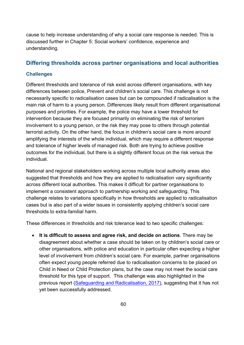cause to help increase understanding of why a social care response is needed. This is discussed further in [Chapter 5: Social workers' confidence, experience and](#page-69-0)  [understanding.](#page-69-0)

### **Differing thresholds across partner organisations and local authorities**

#### **Challenges**

Different thresholds and tolerance of risk exist across different organisations, with key differences between police, Prevent and children's social care. This challenge is not necessarily specific to radicalisation cases but can be compounded if radicalisation is the main risk of harm to a young person. Differences likely result from different organisational purposes and priorities. For example, the police may have a lower threshold for intervention because they are focused primarily on eliminating the risk of terrorism involvement to a young person, or the risk they may pose to others through potential terrorist activity. On the other hand, the focus in children's social care is more around amplifying the interests of the whole individual, which may require a different response and tolerance of higher levels of managed risk. Both are trying to achieve positive outcomes for the individual, but there is a slightly different focus on the risk versus the individual.

National and regional stakeholders working across multiple local authority areas also suggested that thresholds and how they are applied to radicalisation vary significantly across different local authorities. This makes it difficult for partner organisations to implement a consistent approach to partnership working and safeguarding. This challenge relates to variations specifically in how thresholds are applied to radicalisation cases but is also part of a wider issues in consistently applying children's social care thresholds to extra-familial harm.

These differences in thresholds and risk tolerance lead to two specific challenges:

• **It is difficult to assess and agree risk, and decide on actions**. There may be disagreement about whether a case should be taken on by children's social care or other organisations, with police and education in particular often expecting a higher level of involvement from children's social care. For example, partner organisations often expect young people referred due to radicalisation concerns to be placed on Child in Need or Child Protection plans, but the case may not meet the social care threshold for this type of support. This challenge was also highlighted in the previous report [\(Safeguarding and Radicalisation,](https://assets.publishing.service.gov.uk/government/uploads/system/uploads/attachment_data/file/635262/Safeguarding_and_Radicalisation.pdf) 2017), suggesting that it has not yet been successfully addressed.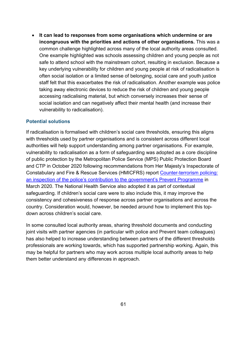• **It can lead to responses from some organisations which undermine or are incongruous with the priorities and actions of other organisations.** This was a common challenge highlighted across many of the local authority areas consulted. One example highlighted was schools assessing children and young people as not safe to attend school with the mainstream cohort, resulting in exclusion. Because a key underlying vulnerability for children and young people at risk of radicalisation is often social isolation or a limited sense of belonging, social care and youth justice staff felt that this exacerbates the risk of radicalisation. Another example was police taking away electronic devices to reduce the risk of children and young people accessing radicalising material, but which conversely increases their sense of social isolation and can negatively affect their mental health (and increase their vulnerability to radicalisation).

#### **Potential solutions**

If radicalisation is formalised with children's social care thresholds, ensuring this aligns with thresholds used by partner organisations and is consistent across different local authorities will help support understanding among partner organisations. For example, vulnerability to radicalisation as a form of safeguarding was adopted as a core discipline of public protection by the Metropolitan Police Service (MPS) Public Protection Board and CTP in October 2020 following recommendations from Her Majesty's Inspectorate of Constabulary and Fire & Rescue Services (HMICFRS) report [Counter-terrorism policing:](https://www.justiceinspectorates.gov.uk/hmicfrs/wp-content/uploads/redacted-counter-terrorism-policing-inspection-police-contribution-government-prevent-programme.pdf)  [an inspection of the police's contribution to the government's Prevent Programme](https://www.justiceinspectorates.gov.uk/hmicfrs/wp-content/uploads/redacted-counter-terrorism-policing-inspection-police-contribution-government-prevent-programme.pdf) in March 2020. The National Health Service also adopted it as part of contextual safeguarding. If children's social care were to also include this, it may improve the consistency and cohesiveness of response across partner organisations and across the country. Consideration would, however, be needed around how to implement this topdown across children's social care.

In some consulted local authority areas, sharing threshold documents and conducting joint visits with partner agencies (in particular with police and Prevent team colleagues) has also helped to increase understanding between partners of the different thresholds professionals are working towards, which has supported partnership working. Again, this may be helpful for partners who may work across multiple local authority areas to help them better understand any differences in approach.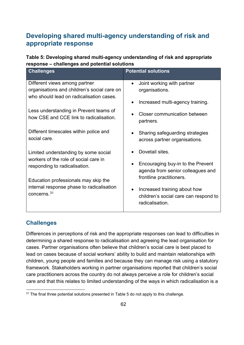# **Developing shared multi-agency understanding of risk and appropriate response**

**Table 5: Developing shared multi-agency understanding of risk and appropriate response – challenges and potential solutions**

| <b>Challenges</b>                                      | <b>Potential solutions</b>              |
|--------------------------------------------------------|-----------------------------------------|
| Different views among partner                          | Joint working with partner<br>$\bullet$ |
| organisations and children's social care on            | organisations.                          |
| who should lead on radicalisation cases.               |                                         |
|                                                        | Increased multi-agency training.        |
| Less understanding in Prevent teams of                 | <b>Closer communication between</b>     |
| how CSE and CCE link to radicalisation.                | partners.                               |
|                                                        |                                         |
| Different timescales within police and<br>social care. | Sharing safeguarding strategies         |
|                                                        | across partner organisations.           |
| Limited understanding by some social                   | Dovetail sites.                         |
| workers of the role of social care in                  |                                         |
| responding to radicalisation.                          | Encouraging buy-in to the Prevent       |
|                                                        | agenda from senior colleagues and       |
| Education professionals may skip the                   | frontline practitioners.                |
| internal response phase to radicalisation              | Increased training about how            |
| concerns. <sup>31</sup>                                | children's social care can respond to   |
|                                                        | radicalisation.                         |
|                                                        |                                         |

## **Challenges**

Differences in perceptions of risk and the appropriate responses can lead to difficulties in determining a shared response to radicalisation and agreeing the lead organisation for cases. Partner organisations often believe that children's social care is best placed to lead on cases because of social workers' ability to build and maintain relationships with children, young people and families and because they can manage risk using a statutory framework. Stakeholders working in partner organisations reported that children's social care practitioners across the country do not always perceive a role for children's social care and that this relates to limited understanding of the ways in which radicalisation is a

<span id="page-61-0"></span> $31$  The final three potential solutions presented in Table 5 do not apply to this challenge.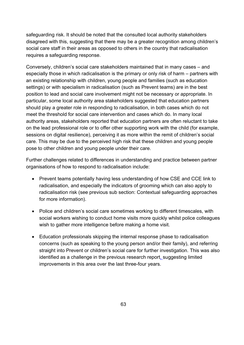safeguarding risk. It should be noted that the consulted local authority stakeholders disagreed with this, suggesting that there may be a greater recognition among children's social care staff in their areas as opposed to others in the country that radicalisation requires a safeguarding response.

Conversely, children's social care stakeholders maintained that in many cases – and especially those in which radicalisation is the primary or only risk of harm – partners with an existing relationship with children, young people and families (such as education settings) or with specialism in radicalisation (such as Prevent teams) are in the best position to lead and social care involvement might not be necessary or appropriate. In particular, some local authority area stakeholders suggested that education partners should play a greater role in responding to radicalisation, in both cases which do not meet the threshold for social care intervention and cases which do. In many local authority areas, stakeholders reported that education partners are often reluctant to take on the lead professional role or to offer other supporting work with the child (for example, sessions on digital resilience), perceiving it as more within the remit of children's social care. This may be due to the perceived high risk that these children and young people pose to other children and young people under their care.

Further challenges related to differences in understanding and practice between partner organisations of how to respond to radicalisation include:

- Prevent teams potentially having less understanding of how CSE and CCE link to radicalisation, and especially the indicators of grooming which can also apply to radicalisation risk (see previous sub section: [Contextual safeguarding approaches](#page-43-0) for more information).
- Police and children's social care sometimes working to different timescales, with social workers wishing to conduct home visits more quickly whilst police colleagues wish to gather more intelligence before making a home visit.
- Education professionals skipping the internal response phase to radicalisation concerns (such as speaking to the young person and/or their family), and referring straight into Prevent or children's social care for further investigation. This was also identified as a challenge in the previous research report, suggesting limited improvements in this area over the last three-four years.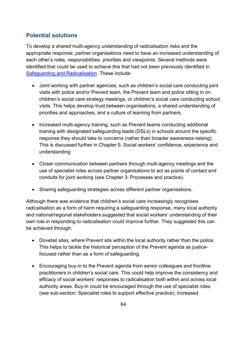## **Potential solutions**

To develop a shared multi-agency understanding of radicalisation risks and the appropriate response, partner organisations need to have an increased understanding of each other's roles, responsibilities, priorities and viewpoints. Several methods were identified that could be used to achieve this that had not been previously identified in [Safeguarding and](https://assets.publishing.service.gov.uk/government/uploads/system/uploads/attachment_data/file/635262/Safeguarding_and_Radicalisation.pdf) Radicalisation. These include:

- Joint working with partner agencies, such as children's social care conducting joint visits with police and/or Prevent team, the Prevent team and police sitting in on children's social care strategy meetings, or children's social care conducting school visits. This helps develop trust between organisations, a shared understanding of priorities and approaches, and a culture of learning from partners.
- Increased multi-agency training, such as Prevent teams conducting additional training with designated safeguarding leads (DSLs) in schools around the specific response they should take to concerns (rather than broader awareness-raising). This is discussed further in [Chapter 5: Social workers' confidence, experience and](#page-69-0)  [understanding](#page-69-0)
- Closer communication between partners through multi-agency meetings and the use of specialist roles across partner organisations to act as points of contact and conduits for joint working (see [Chapter 3: Processes and practice\)](#page-29-0).
- Sharing safeguarding strategies across different partner organisations.

Although there was evidence that children's social care increasingly recognises radicalisation as a form of harm requiring a safeguarding response, many local authority and national/regional stakeholders suggested that social workers' understanding of their own role in responding to radicalisation could improve further. They suggested this can be achieved through:

- Dovetail sites, where Prevent sits within the local authority rather than the police. This helps to tackle the historical perception of the Prevent agenda as justicefocused rather than as a form of safeguarding.
- Encouraging buy-in to the Prevent agenda from senior colleagues and frontline practitioners in children's social care. This could help improve the consistency and efficacy of social workers' responses to radicalisation both within and across local authority areas. Buy-in could be encouraged through the use of specialist roles (see sub-section: [Specialist roles to support effective practice\)](#page-41-0), increased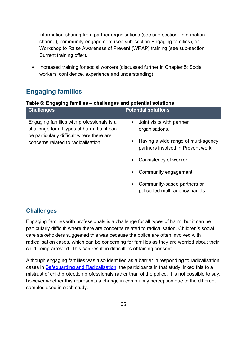information-sharing from partner organisations (see sub-section: [Information](#page-53-1)  [sharing\)](#page-53-1), community-engagement (see sub-section [Engaging families\)](#page-64-1), or Workshop to Raise Awareness of Prevent (WRAP) training (see sub-section [Current training offer\)](#page-70-0).

• Increased training for social workers (discussed further in [Chapter 5: Social](#page-69-0)  [workers' confidence, experience and understanding\)](#page-69-0).

# <span id="page-64-1"></span>**Engaging families**

<span id="page-64-0"></span>

| Table 6: Engaging families - challenges and potential solutions |  |  |  |  |  |
|-----------------------------------------------------------------|--|--|--|--|--|
|-----------------------------------------------------------------|--|--|--|--|--|

| <b>Challenges</b>                                                                                                                                                            | <b>Potential solutions</b>                                                |
|------------------------------------------------------------------------------------------------------------------------------------------------------------------------------|---------------------------------------------------------------------------|
| Engaging families with professionals is a<br>challenge for all types of harm, but it can<br>be particularly difficult where there are<br>concerns related to radicalisation. | Joint visits with partner<br>$\bullet$<br>organisations.                  |
|                                                                                                                                                                              | Having a wide range of multi-agency<br>partners involved in Prevent work. |
|                                                                                                                                                                              | Consistency of worker.                                                    |
|                                                                                                                                                                              | Community engagement.                                                     |
|                                                                                                                                                                              | Community-based partners or<br>police-led multi-agency panels.            |

## **Challenges**

Engaging families with professionals is a challenge for all types of harm, but it can be particularly difficult where there are concerns related to radicalisation. Children's social care stakeholders suggested this was because the police are often involved with radicalisation cases, which can be concerning for families as they are worried about their child being arrested. This can result in difficulties obtaining consent.

Although engaging families was also identified as a barrier in responding to radicalisation cases in [Safeguarding and](https://assets.publishing.service.gov.uk/government/uploads/system/uploads/attachment_data/file/635262/Safeguarding_and_Radicalisation.pdf) Radicalisation, the participants in that study linked this to a mistrust of child protection professionals rather than of the police. It is not possible to say, however whether this represents a change in community perception due to the different samples used in each study.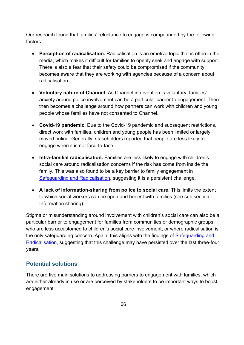Our research found that families' reluctance to engage is compounded by the following factors:

- **Perception of radicalisation.** Radicalisation is an emotive topic that is often in the media, which makes it difficult for families to openly seek and engage with support. There is also a fear that their safety could be compromised if the community becomes aware that they are working with agencies because of a concern about radicalisation.
- **Voluntary nature of Channel.** As Channel intervention is voluntary, families' anxiety around police involvement can be a particular barrier to engagement. There then becomes a challenge around how partners can work with children and young people whose families have not consented to Channel.
- **Covid-19 pandemic.** Due to the Covid-19 pandemic and subsequent restrictions, direct work with families, children and young people has been limited or largely moved online. Generally, stakeholders reported that people are less likely to engage when it is not face-to-face.
- **Intra-familial radicalisation.** Families are less likely to engage with children's social care around radicalisation concerns if the risk has come from inside the family. This was also found to be a key barrier to family engagement in [Safeguarding and Radicalisation,](https://assets.publishing.service.gov.uk/government/uploads/system/uploads/attachment_data/file/635262/Safeguarding_and_Radicalisation.pdf) suggesting it is a persistent challenge.
- **A lack of information-sharing from police to social care.** This limits the extent to which social workers can be open and honest with families (see sub section: [Information sharing\)](#page-53-1).

Stigma or misunderstanding around involvement with children's social care can also be a particular barrier to engagement for families from communities or demographic groups who are less accustomed to children's social care involvement, or where radicalisation is the only safeguarding concern. Again, this aligns with the findings of Safeguarding and [Radicalisation,](https://assets.publishing.service.gov.uk/government/uploads/system/uploads/attachment_data/file/635262/Safeguarding_and_Radicalisation.pdf) suggesting that this challenge may have persisted over the last three-four years.

## **Potential solutions**

There are five main solutions to addressing barriers to engagement with families, which are either already in use or are perceived by stakeholders to be important ways to boost engagement: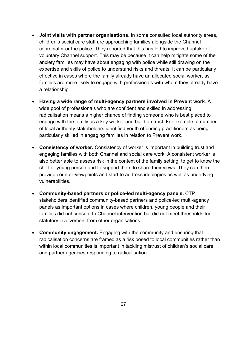- **Joint visits with partner organisations**. In some consulted local authority areas, children's social care staff are approaching families alongside the Channel coordinator or the police. They reported that this has led to improved uptake of voluntary Channel support. This may be because it can help mitigate some of the anxiety families may have about engaging with police while still drawing on the expertise and skills of police to understand risks and threats. It can be particularly effective in cases where the family already have an allocated social worker, as families are more likely to engage with professionals with whom they already have a relationship.
- **Having a wide range of multi-agency partners involved in Prevent work**. A wide pool of professionals who are confident and skilled in addressing radicalisation means a higher chance of finding someone who is best placed to engage with the family as a key worker and build up trust. For example, a number of local authority stakeholders identified youth offending practitioners as being particularly skilled in engaging families in relation to Prevent work.
- **Consistency of worker.** Consistency of worker is important in building trust and engaging families with both Channel and social care work. A consistent worker is also better able to assess risk in the context of the family setting, to get to know the child or young person and to support them to share their views. They can then provide counter-viewpoints and start to address ideologies as well as underlying vulnerabilities.
- **Community-based partners or police-led multi-agency panels.** CTP stakeholders identified community-based partners and police-led multi-agency panels as important options in cases where children, young people and their families did not consent to Channel intervention but did not meet thresholds for statutory involvement from other organisations.
- **Community engagement.** Engaging with the community and ensuring that radicalisation concerns are framed as a risk posed to local communities rather than within local communities is important in tackling mistrust of children's social care and partner agencies responding to radicalisation.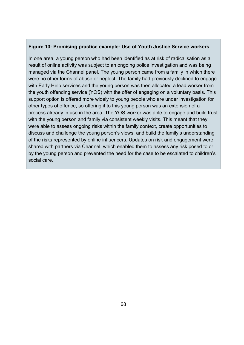### **Figure 13: Promising practice example: Use of Youth Justice Service workers**

In one area, a young person who had been identified as at risk of radicalisation as a result of online activity was subject to an ongoing police investigation and was being managed via the Channel panel. The young person came from a family in which there were no other forms of abuse or neglect. The family had previously declined to engage with Early Help services and the young person was then allocated a lead worker from the youth offending service (YOS) with the offer of engaging on a voluntary basis. This support option is offered more widely to young people who are under investigation for other types of offence, so offering it to this young person was an extension of a process already in use in the area. The YOS worker was able to engage and build trust with the young person and family via consistent weekly visits. This meant that they were able to assess ongoing risks within the family context, create opportunities to discuss and challenge the young person's views, and build the family's understanding of the risks represented by online influencers. Updates on risk and engagement were shared with partners via Channel, which enabled them to assess any risk posed to or by the young person and prevented the need for the case to be escalated to children's social care.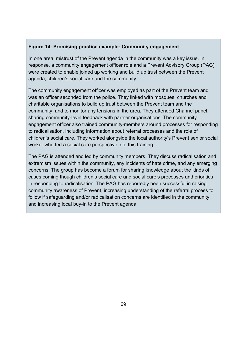### **Figure 14: Promising practice example: Community engagement**

In one area, mistrust of the Prevent agenda in the community was a key issue. In response, a community engagement officer role and a Prevent Advisory Group (PAG) were created to enable joined up working and build up trust between the Prevent agenda, children's social care and the community.

The community engagement officer was employed as part of the Prevent team and was an officer seconded from the police. They linked with mosques, churches and charitable organisations to build up trust between the Prevent team and the community, and to monitor any tensions in the area. They attended Channel panel, sharing community-level feedback with partner organisations. The community engagement officer also trained community-members around processes for responding to radicalisation, including information about referral processes and the role of children's social care. They worked alongside the local authority's Prevent senior social worker who fed a social care perspective into this training.

The PAG is attended and led by community members. They discuss radicalisation and extremism issues within the community, any incidents of hate crime, and any emerging concerns. The group has become a forum for sharing knowledge about the kinds of cases coming though children's social care and social care's processes and priorities in responding to radicalisation. The PAG has reportedly been successful in raising community awareness of Prevent, increasing understanding of the referral process to follow if safeguarding and/or radicalisation concerns are identified in the community, and increasing local buy-in to the Prevent agenda.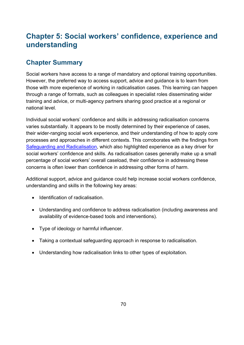# <span id="page-69-0"></span>**Chapter 5: Social workers' confidence, experience and understanding**

# **Chapter Summary**

Social workers have access to a range of mandatory and optional training opportunities. However, the preferred way to access support, advice and guidance is to learn from those with more experience of working in radicalisation cases. This learning can happen through a range of formats, such as colleagues in specialist roles disseminating wider training and advice, or multi-agency partners sharing good practice at a regional or national level.

Individual social workers' confidence and skills in addressing radicalisation concerns varies substantially. It appears to be mostly determined by their experience of cases, their wider-ranging social work experience, and their understanding of how to apply core processes and approaches in different contexts. This corroborates with the findings from [Safeguarding and Radicalisation,](https://assets.publishing.service.gov.uk/government/uploads/system/uploads/attachment_data/file/635262/Safeguarding_and_Radicalisation.pdf) which also highlighted experience as a key driver for social workers' confidence and skills. As radicalisation cases generally make up a small percentage of social workers' overall caseload, their confidence in addressing these concerns is often lower than confidence in addressing other forms of harm.

Additional support, advice and guidance could help increase social workers confidence, understanding and skills in the following key areas:

- Identification of radicalisation.
- Understanding and confidence to address radicalisation (including awareness and availability of evidence-based tools and interventions).
- Type of ideology or harmful influencer.
- Taking a contextual safeguarding approach in response to radicalisation.
- Understanding how radicalisation links to other types of exploitation.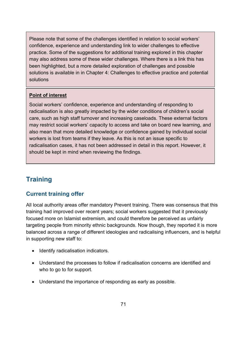Please note that some of the challenges identified in relation to social workers' confidence, experience and understanding link to wider challenges to effective practice. Some of the suggestions for additional training explored in this chapter may also address some of these wider challenges. Where there is a link this has been highlighted, but a more detailed exploration of challenges and possible solutions is available in in [Chapter 4: Challenges to effective practice and potential](#page-52-0)  [solutions](#page-52-0)

### **Point of interest**

Social workers' confidence, experience and understanding of responding to radicalisation is also greatly impacted by the wider conditions of children's social care, such as high staff turnover and increasing caseloads. These external factors may restrict social workers' capacity to access and take on board new learning, and also mean that more detailed knowledge or confidence gained by individual social workers is lost from teams if they leave. As this is not an issue specific to radicalisation cases, it has not been addressed in detail in this report. However, it should be kept in mind when reviewing the findings.

# **Training**

## <span id="page-70-0"></span>**Current training offer**

All local authority areas offer mandatory Prevent training. There was consensus that this training had improved over recent years; social workers suggested that it previously focused more on Islamist extremism, and could therefore be perceived as unfairly targeting people from minority ethnic backgrounds. Now though, they reported it is more balanced across a range of different ideologies and radicalising influencers, and is helpful in supporting new staff to:

- Identify radicalisation indicators.
- Understand the processes to follow if radicalisation concerns are identified and who to go to for support.
- Understand the importance of responding as early as possible.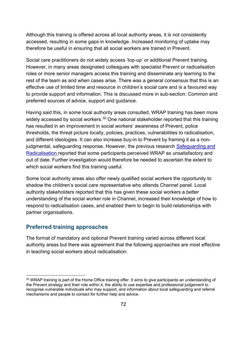Although this training is offered across all local authority areas, it is not consistently accessed, resulting in some gaps in knowledge. Increased monitoring of uptake may therefore be useful in ensuring that all social workers are trained in Prevent.

Social care practitioners do not widely access 'top-up' or additional Prevent training. However, in many areas designated colleagues with specialist Prevent or radicalisation roles or more senior managers access this training and disseminate any learning to the rest of the team as and when cases arise. There was a general consensus that this is an effective use of limited time and resource in children's social care and is a favoured way to provide support and information. This is discussed more in sub-section: [Common and](#page-73-0)  [preferred sources of advice, support and guidance.](#page-73-0)

Having said this, in some local authority areas consulted, WRAP training has been more widely accessed by social workers.<sup>[32](#page-71-0)</sup> One national stakeholder reported that this training has resulted in an improvement in social workers' awareness of Prevent, police thresholds, the threat picture locally, policies, practices, vulnerabilities to radicalisation, and different ideologies. It can also increase buy-in to Prevent by framing it as a nonjudgmental, safeguarding response. However, the previous research [Safeguarding and](https://assets.publishing.service.gov.uk/government/uploads/system/uploads/attachment_data/file/635262/Safeguarding_and_Radicalisation.pdf)  [Radicalisation](https://assets.publishing.service.gov.uk/government/uploads/system/uploads/attachment_data/file/635262/Safeguarding_and_Radicalisation.pdf) reported that some participants perceived WRAP as unsatisfactory and out of date. Further investigation would therefore be needed to ascertain the extent to which social workers find this training useful.

Some local authority areas also offer newly qualified social workers the opportunity to shadow the children's social care representative who attends Channel panel. Local authority stakeholders reported that this has given these social workers a better understanding of the social worker role in Channel, increased their knowledge of how to respond to radicalisation cases, and enabled them to begin to build relationships with partner organisations.

### **Preferred training approaches**

The format of mandatory and optional Prevent training varied across different local authority areas but there was agreement that the following approaches are most effective in teaching social workers about radicalisation:

<span id="page-71-0"></span><sup>&</sup>lt;sup>32</sup> WRAP training is part of the Home Office training offer. It aims to give participants an understanding of the Prevent strategy and their role within it, the ability to use expertise and professional judgement to recognise vulnerable individuals who may support, and information about local safeguarding and referral mechanisms and people to contact for further help and advice.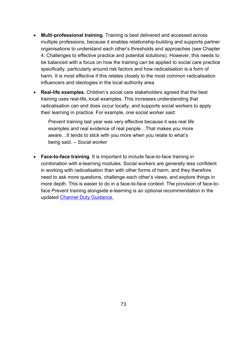- **Multi-professional training**. Training is best delivered and accessed across multiple professions, because it enables relationship-building and supports partner organisations to understand each other's thresholds and approaches (see [Chapter](#page-52-0)  [4: Challenges to effective practice and potential solutions\)](#page-52-0). However, this needs to be balanced with a focus on how the training can be applied to social care practice specifically, particularly around risk factors and how radicalisation is a form of harm. It is most effective if this relates closely to the most common radicalisation influencers and ideologies in the local authority area.
- **Real-life examples.** Children's social care stakeholders agreed that the best training uses real-life, local examples. This increases understanding that radicalisation can and does occur locally, and supports social workers to apply their learning in practice. For example, one social worker said:

Prevent training last year was very effective because it was real life examples and real evidence of real people…That makes you more aware…It tends to stick with you more when you relate to what's being said. *– Social worker*

• **Face-to-face training**. It is important to include face-to-face training in combination with e-learning modules. Social workers are generally less confident in working with radicalisation than with other forms of harm, and they therefore need to ask more questions, challenge each other's views, and explore things in more depth. This is easier to do in a face-to-face context. The provision of face-toface Prevent training alongside e-learning is an optional recommendation in the updated [Channel Duty Guidance.](https://assets.publishing.service.gov.uk/government/uploads/system/uploads/attachment_data/file/964567/6.6271_HO_HMG_Channel_Duty_Guidance_v14_Web.pdf)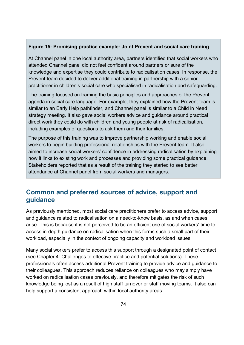#### **Figure 15: Promising practice example: Joint Prevent and social care training**

At Channel panel in one local authority area, partners identified that social workers who attended Channel panel did not feel confident around partners or sure of the knowledge and expertise they could contribute to radicalisation cases. In response, the Prevent team decided to deliver additional training in partnership with a senior practitioner in children's social care who specialised in radicalisation and safeguarding.

The training focused on framing the basic principles and approaches of the Prevent agenda in social care language. For example, they explained how the Prevent team is similar to an Early Help pathfinder, and Channel panel is similar to a Child in Need strategy meeting. It also gave social workers advice and guidance around practical direct work they could do with children and young people at risk of radicalisation, including examples of questions to ask them and their families.

The purpose of this training was to improve partnership working and enable social workers to begin building professional relationships with the Prevent team. It also aimed to increase social workers' confidence in addressing radicalisation by explaining how it links to existing work and processes and providing some practical guidance. Stakeholders reported that as a result of the training they started to see better attendance at Channel panel from social workers and managers.

## <span id="page-73-0"></span>**Common and preferred sources of advice, support and guidance**

As previously mentioned, most social care practitioners prefer to access advice, support and guidance related to radicalisation on a need-to-know basis, as and when cases arise. This is because it is not perceived to be an efficient use of social workers' time to access in-depth guidance on radicalisation when this forms such a small part of their workload, especially in the context of ongoing capacity and workload issues.

Many social workers prefer to access this support through a designated point of contact (see [Chapter 4: Challenges to effective practice and potential solutions\)](#page-52-0). These professionals often access additional Prevent training to provide advice and guidance to their colleagues. This approach reduces reliance on colleagues who may simply have worked on radicalisation cases previously, and therefore mitigates the risk of such knowledge being lost as a result of high staff turnover or staff moving teams. It also can help support a consistent approach within local authority areas.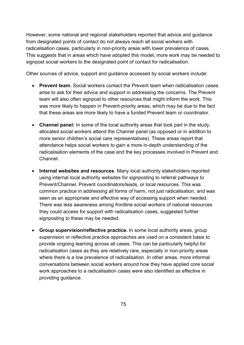However, some national and regional stakeholders reported that advice and guidance from designated points of contact do not always reach all social workers with radicalisation cases, particularly in non-priority areas with lower prevalence of cases. This suggests that in areas which have adopted this model, more work may be needed to signpost social workers to the designated point of contact for radicalisation.

Other sources of advice, support and guidance accessed by social workers include:

- **Prevent team.** Social workers contact the Prevent team when radicalisation cases arise to ask for their advice and support in addressing the concerns. The Prevent team will also often signpost to other resources that might inform the work. This was more likely to happen in Prevent-priority areas, which may be due to the fact that these areas are more likely to have a funded Prevent team or coordinator.
- **Channel panel:** In some of the local authority areas that took part in the study, allocated social workers attend the Channel panel (as opposed or in addition to more senior children's social care representatives). These areas report that attendance helps social workers to gain a more in-depth understanding of the radicalisation elements of the case and the key processes involved in Prevent and Channel.
- **Internal websites and resources**. Many local authority stakeholders reported using internal local authority websites for signposting to referral pathways to Prevent/Channel, Prevent coordinators/leads, or local resources. This was common practice in addressing all forms of harm, not just radicalisation, and was seen as an appropriate and effective way of accessing support when needed. There was less awareness among frontline social workers of national resources they could access for support with radicalisation cases, suggested further signposting to these may be needed.
- **Group supervision/reflective practice.** In some local authority areas, group supervision or reflective practice approaches are used on a consistent basis to provide ongoing learning across all cases. This can be particularly helpful for radicalisation cases as they are relatively rare, especially in non-priority areas where there is a low prevalence of radicalisation. In other areas, more informal conversations between social workers around how they have applied core social work approaches to a radicalisation cases were also identified as effective in providing guidance.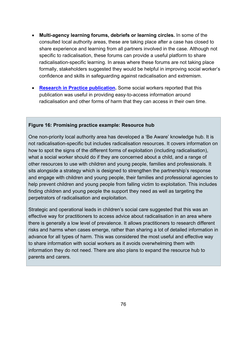- **Multi-agency learning forums, debriefs or learning circles.** In some of the consulted local authority areas, these are taking place after a case has closed to share experience and learning from all partners involved in the case. Although not specific to radicalisation, these forums can provide a useful platform to share radicalisation-specific learning. In areas where these forums are not taking place formally, stakeholders suggested they would be helpful in improving social worker's confidence and skills in safeguarding against radicalisation and extremism.
- **Research in [Practice publication.](https://www.researchinpractice.org.uk/)** Some social workers reported that this publication was useful in providing easy-to-access information around radicalisation and other forms of harm that they can access in their own time.

#### **Figure 16: Promising practice example: Resource hub**

One non-priority local authority area has developed a 'Be Aware' knowledge hub. It is not radicalisation-specific but includes radicalisation resources. It covers information on how to spot the signs of the different forms of exploitation (including radicalisation), what a social worker should do if they are concerned about a child, and a range of other resources to use with children and young people, families and professionals. It sits alongside a strategy which is designed to strengthen the partnership's response and engage with children and young people, their families and professional agencies to help prevent children and young people from falling victim to exploitation. This includes finding children and young people the support they need as well as targeting the perpetrators of radicalisation and exploitation.

Strategic and operational leads in children's social care suggested that this was an effective way for practitioners to access advice about radicalisation in an area where there is generally a low level of prevalence. It allows practitioners to research different risks and harms when cases emerge, rather than sharing a lot of detailed information in advance for all types of harm. This was considered the most useful and effective way to share information with social workers as it avoids overwhelming them with information they do not need. There are also plans to expand the resource hub to parents and carers.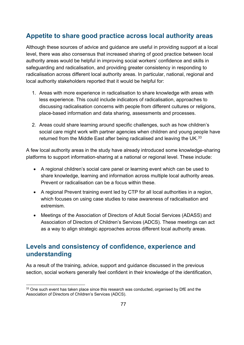## **Appetite to share good practice across local authority areas**

Although these sources of advice and guidance are useful in providing support at a local level, there was also consensus that increased sharing of good practice between local authority areas would be helpful in improving social workers' confidence and skills in safeguarding and radicalisation, and providing greater consistency in responding to radicalisation across different local authority areas. In particular, national, regional and local authority stakeholders reported that it would be helpful for:

- 1. Areas with more experience in radicalisation to share knowledge with areas with less experience. This could include indicators of radicalisation, approaches to discussing radicalisation concerns with people from different cultures or religions, place-based information and data sharing, assessments and processes.
- 2. Areas could share learning around specific challenges, such as how children's social care might work with partner agencies when children and young people have returned from the Middle East after being radicalised and leaving the UK.<sup>[33](#page-76-0)</sup>

A few local authority areas in the study have already introduced some knowledge-sharing platforms to support information-sharing at a national or regional level. These include:

- A regional children's social care panel or learning event which can be used to share knowledge, learning and information across multiple local authority areas. Prevent or radicalisation can be a focus within these.
- A regional Prevent training event led by CTP for all local authorities in a region, which focuses on using case studies to raise awareness of radicalisation and extremism.
- Meetings of the Association of Directors of Adult Social Services (ADASS) and Association of Directors of Children's Services (ADCS). These meetings can act as a way to align strategic approaches across different local authority areas.

## **Levels and consistency of confidence, experience and understanding**

As a result of the training, advice, support and guidance discussed in the previous section, social workers generally feel confident in their knowledge of the identification,

<span id="page-76-0"></span> $33$  One such event has taken place since this research was conducted, organised by DfE and the Association of Directors of Children's Services (ADCS).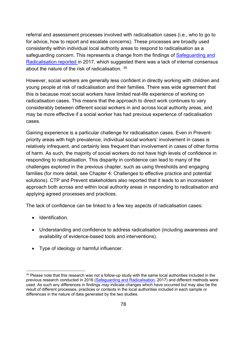referral and assessment processes involved with radicalisation cases (i.e., who to go to for advice, how to report and escalate concerns). These processes are broadly used consistently within individual local authority areas to respond to radicalisation as a safeguarding concern. This represents a change from the findings of Safeguarding and [Radicalisation](https://assets.publishing.service.gov.uk/government/uploads/system/uploads/attachment_data/file/635262/Safeguarding_and_Radicalisation.pdf) reported in 2017, which suggested there was a lack of internal consensus about the nature of the risk of radicalisation. [34](#page-77-0)

However, social workers are generally less confident in directly working with children and young people at risk of radicalisation and their families. There was wide agreement that this is because most social workers have limited real-life experience of working on radicalisation cases. This means that the approach to direct work continues to vary considerably between different social workers in and across local authority areas, and may be more effective if a social worker has had previous experience of radicalisation cases.

Gaining experience is a particular challenge for radicalisation cases. Even in Preventpriority areas with high prevalence, individual social workers' involvement in cases is relatively infrequent, and certainly less frequent than involvement in cases of other forms of harm. As such, the majority of social workers do not have high levels of confidence in responding to radicalisation. This disparity in confidence can lead to many of the challenges explored in the previous chapter, such as using thresholds and engaging families (for more detail, see Chapter 4: [Challenges to effective practice and potential](#page-52-0)  [solutions\)](#page-52-0). CTP and Prevent stakeholders also reported that it leads to an inconsistent approach both across and within local authority areas in responding to radicalisation and applying agreed processes and practices.

The lack of confidence can be linked to a few key aspects of radicalisation cases:

- Identification.
- Understanding and confidence to address radicalisation (including awareness and availability of evidence-based tools and interventions).
- Type of ideology or harmful influencer.

<span id="page-77-0"></span><sup>&</sup>lt;sup>34</sup> Please note that this research was not a follow-up study with the same local authorities included in the previous research conducted in 2016 [\(Safeguarding and Radicalisation,](https://assets.publishing.service.gov.uk/government/uploads/system/uploads/attachment_data/file/635262/Safeguarding_and_Radicalisation.pdf) 2017) and different methods were used. As such any differences in findings *may* indicate changes which have occurred but may also be the result of different processes, practices or contexts in the local authorities included in each sample or differences in the nature of data generated by the two studies.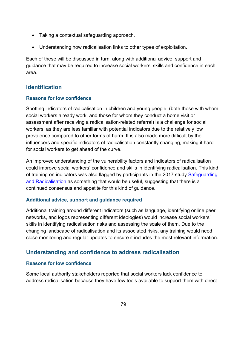- Taking a contextual safeguarding approach.
- Understanding how radicalisation links to other types of exploitation.

Each of these will be discussed in turn, along with additional advice, support and guidance that may be required to increase social workers' skills and confidence in each area.

### **Identification**

#### **Reasons for low confidence**

Spotting indicators of radicalisation in children and young people (both those with whom social workers already work, and those for whom they conduct a home visit or assessment after receiving a radicalisation-related referral) is a challenge for social workers, as they are less familiar with potential indicators due to the relatively low prevalence compared to other forms of harm. It is also made more difficult by the influencers and specific indicators of radicalisation constantly changing, making it hard for social workers to get ahead of the curve.

An improved understanding of the vulnerability factors and indicators of radicalisation could improve social workers' confidence and skills in identifying radicalisation. This kind of training on indicators was also flagged by participants in the 2017 study Safeguarding [and Radicalisation](https://assets.publishing.service.gov.uk/government/uploads/system/uploads/attachment_data/file/635262/Safeguarding_and_Radicalisation.pdf) as something that would be useful, suggesting that there is a continued consensus and appetite for this kind of guidance.

#### **Additional advice, support and guidance required**

Additional training around different indicators (such as language, identifying online peer networks, and logos representing different ideologies) would increase social workers' skills in identifying radicalisation risks and assessing the scale of them. Due to the changing landscape of radicalisation and its associated risks, any training would need close monitoring and regular updates to ensure it includes the most relevant information.

### **Understanding and confidence to address radicalisation**

#### **Reasons for low confidence**

Some local authority stakeholders reported that social workers lack confidence to address radicalisation because they have few tools available to support them with direct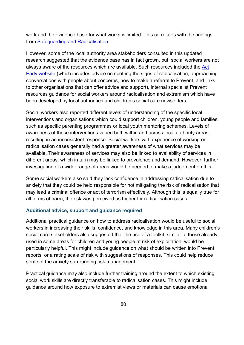work and the evidence base for what works is limited. This correlates with the findings from [Safeguarding and Radicalisation.](https://assets.publishing.service.gov.uk/government/uploads/system/uploads/attachment_data/file/635262/Safeguarding_and_Radicalisation.pdf)

However, some of the local authority area stakeholders consulted in this updated research suggested that the evidence base has in fact grown, but social workers are not always aware of the resources which *are* available. Such resources included the [Act](https://actearly.uk/)  [Early website](https://actearly.uk/) (which includes advice on spotting the signs of radicalisation, approaching conversations with people about concerns, how to make a referral to Prevent, and links to other organisations that can offer advice and support), internal specialist Prevent resources guidance for social workers around radicalisation and extremism which have been developed by local authorities and children's social care newsletters.

Social workers also reported different levels of understanding of the specific local interventions and organisations which could support children, young people and families, such as specific parenting programmes or local youth mentoring schemes. Levels of awareness of these interventions varied both within and across local authority areas, resulting in an inconsistent response. Social workers with experience of working on radicalisation cases generally had a greater awareness of what services may be available. Their awareness of services may also be linked to availability of services in different areas, which in turn may be linked to prevalence and demand. However, further investigation of a wider range of areas would be needed to make a judgement on this.

Some social workers also said they lack confidence in addressing radicalisation due to anxiety that they could be held responsible for not mitigating the risk of radicalisation that may lead a criminal offence or act of terrorism effectively. Although this is equally true for all forms of harm, the risk was perceived as higher for radicalisation cases.

#### **Additional advice, support and guidance required**

Additional practical guidance on how to address radicalisation would be useful to social workers in increasing their skills, confidence, and knowledge in this area. Many children's social care stakeholders also suggested that the use of a toolkit, similar to those already used in some areas for children and young people at risk of exploitation, would be particularly helpful. This might include guidance on what should be written into Prevent reports, or a rating scale of risk with suggestions of responses. This could help reduce some of the anxiety surrounding risk management.

Practical guidance may also include further training around the extent to which existing social work skills are directly transferable to radicalisation cases. This might include guidance around how exposure to extremist views or materials can cause emotional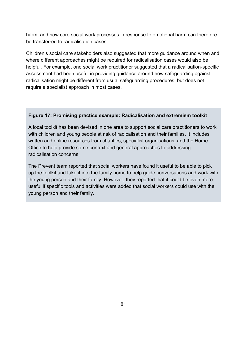harm, and how core social work processes in response to emotional harm can therefore be transferred to radicalisation cases.

Children's social care stakeholders also suggested that more guidance around when and where different approaches might be required for radicalisation cases would also be helpful. For example, one social work practitioner suggested that a radicalisation-specific assessment had been useful in providing guidance around how safeguarding against radicalisation might be different from usual safeguarding procedures, but does not require a specialist approach in most cases.

#### **Figure 17: Promising practice example: Radicalisation and extremism toolkit**

A local toolkit has been devised in one area to support social care practitioners to work with children and young people at risk of radicalisation and their families. It includes written and online resources from charities, specialist organisations, and the Home Office to help provide some context and general approaches to addressing radicalisation concerns.

The Prevent team reported that social workers have found it useful to be able to pick up the toolkit and take it into the family home to help guide conversations and work with the young person and their family. However, they reported that it could be even more useful if specific tools and activities were added that social workers could use with the young person and their family.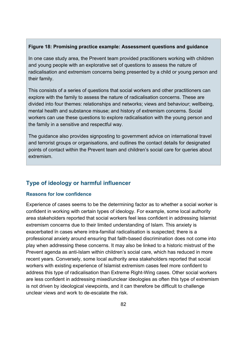#### **Figure 18: Promising practice example: Assessment questions and guidance**

In one case study area, the Prevent team provided practitioners working with children and young people with an explorative set of questions to assess the nature of radicalisation and extremism concerns being presented by a child or young person and their family.

This consists of a series of questions that social workers and other practitioners can explore with the family to assess the nature of radicalisation concerns. These are divided into four themes: relationships and networks; views and behaviour; wellbeing, mental health and substance misuse; and history of extremism concerns. Social workers can use these questions to explore radicalisation with the young person and the family in a sensitive and respectful way.

The guidance also provides signposting to government advice on international travel and terrorist groups or organisations, and outlines the contact details for designated points of contact within the Prevent team and children's social care for queries about extremism.

#### **Type of ideology or harmful influencer**

#### **Reasons for low confidence**

Experience of cases seems to be the determining factor as to whether a social worker is confident in working with certain types of ideology. For example, some local authority area stakeholders reported that social workers feel less confident in addressing Islamist extremism concerns due to their limited understanding of Islam. This anxiety is exacerbated in cases where intra-familial radicalisation is suspected; there is a professional anxiety around ensuring that faith-based discrimination does not come into play when addressing these concerns. It may also be linked to a historic mistrust of the Prevent agenda as anti-Islam within children's social care, which has reduced in more recent years. Conversely, some local authority area stakeholders reported that social workers with existing experience of Islamist extremism cases feel more confident to address this type of radicalisation than Extreme Right-Wing cases. Other social workers are less confident in addressing mixed/unclear ideologies as often this type of extremism is not driven by ideological viewpoints, and it can therefore be difficult to challenge unclear views and work to de-escalate the risk.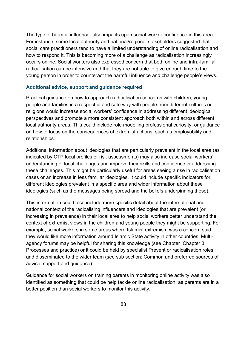The type of harmful influencer also impacts upon social worker confidence in this area. For instance, some local authority and national/regional stakeholders suggested that social care practitioners tend to have a limited understanding of online radicalisation and how to respond it. This is becoming more of a challenge as radicalisation increasingly occurs online. Social workers also expressed concern that both online and intra-familial radicalisation can be intensive and that they are not able to give enough time to the young person in order to counteract the harmful influence and challenge people's views.

#### **Additional advice, support and guidance required**

Practical guidance on how to approach radicalisation concerns with children, young people and families in a respectful and safe way with people from different cultures or religions would increase social workers' confidence in addressing different ideological perspectives and promote a more consistent approach both within and across different local authority areas. This could include role modelling professional curiosity, or guidance on how to focus on the consequences of extremist actions, such as employability and relationships.

Additional information about ideologies that are particularly prevalent in the local area (as indicated by CTP local profiles or risk assessments) may also increase social workers' understanding of local challenges and improve their skills and confidence in addressing these challenges. This might be particularly useful for areas seeing a rise in radicalisation cases or an increase in less familiar ideologies. It could include specific indicators for different ideologies prevalent in a specific area and wider information about these ideologies (such as the messages being spread and the beliefs underpinning these).

This information could also include more specific detail about the international and national context of the radicalising influencers and ideologies that are prevalent (or increasing in prevalence) in their local area to help social workers better understand the context of extremist views in the children and young people they might be supporting. For example, social workers in some areas where Islamist extremism was a concern said they would like more information around Islamic State activity in other countries. Multiagency forums may be helpful for sharing this knowledge (see Chapter [Chapter 3:](#page-29-0)  [Processes and practice\)](#page-29-0) or it could be held by specialist Prevent or radicalisation roles and disseminated to the wider team (see sub section: [Common and preferred sources of](#page-73-0)  [advice, support and guidance\)](#page-73-0).

Guidance for social workers on training parents in monitoring online activity was also identified as something that could be help tackle online radicalisation, as parents are in a better position than social workers to monitor this activity.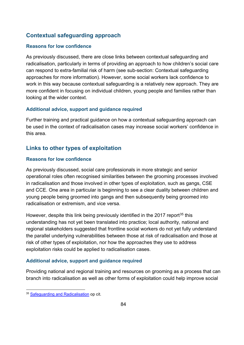## **Contextual safeguarding approach**

#### **Reasons for low confidence**

As previously discussed, there are close links between contextual safeguarding and radicalisation, particularly in terms of providing an approach to how children's social care can respond to extra-familial risk of harm (see sub-section: [Contextual safeguarding](#page-43-0)  [approaches](#page-43-0) for more information). However, some social workers lack confidence to work in this way because contextual safeguarding is a relatively new approach. They are more confident in focusing on individual children, young people and families rather than looking at the wider context.

#### **Additional advice, support and guidance required**

Further training and practical guidance on how a contextual safeguarding approach can be used in the context of radicalisation cases may increase social workers' confidence in this area.

### **Links to other types of exploitation**

#### **Reasons for low confidence**

As previously discussed, social care professionals in more strategic and senior operational roles often recognised similarities between the grooming processes involved in radicalisation and those involved in other types of exploitation, such as gangs, CSE and CCE. One area in particular is beginning to see a clear duality between children and young people being groomed into gangs and then subsequently being groomed into radicalisation or extremism, and vice versa.

However, despite this link being previously identified in the 2017 report<sup>[35](#page-83-0)</sup> this understanding has not yet been translated into practice; local authority, national and regional stakeholders suggested that frontline social workers do not yet fully understand the parallel underlying vulnerabilities between those at risk of radicalisation and those at risk of other types of exploitation, nor how the approaches they use to address exploitation risks could be applied to radicalisation cases.

#### **Additional advice, support and guidance required**

Providing national and regional training and resources on grooming as a process that can branch into radicalisation as well as other forms of exploitation could help improve social

<span id="page-83-0"></span><sup>&</sup>lt;sup>35</sup> [Safeguarding and Radicalisation](https://assets.publishing.service.gov.uk/government/uploads/system/uploads/attachment_data/file/635262/Safeguarding_and_Radicalisation.pdf) op cit.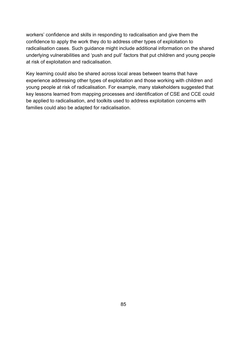workers' confidence and skills in responding to radicalisation and give them the confidence to apply the work they do to address other types of exploitation to radicalisation cases. Such guidance might include additional information on the shared underlying vulnerabilities and 'push and pull' factors that put children and young people at risk of exploitation and radicalisation.

Key learning could also be shared across local areas between teams that have experience addressing other types of exploitation and those working with children and young people at risk of radicalisation. For example, many stakeholders suggested that key lessons learned from mapping processes and identification of CSE and CCE could be applied to radicalisation, and toolkits used to address exploitation concerns with families could also be adapted for radicalisation.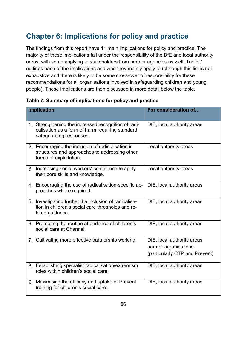# **Chapter 6: Implications for policy and practice**

The findings from this report have 11 main implications for policy and practice. The majority of these implications fall under the responsibility of the DfE and local authority areas, with some applying to stakeholders from partner agencies as well. [Table 7](#page-85-0) outlines each of the implications and who they mainly apply to (although this list is not exhaustive and there is likely to be some cross-over of responsibility for these recommendations for all organisations involved in safeguarding children and young people). These implications are then discussed in more detail below the table.

| <b>Implication</b> |                                                                                                                                   | For consideration of                                                                   |
|--------------------|-----------------------------------------------------------------------------------------------------------------------------------|----------------------------------------------------------------------------------------|
|                    | 1. Strengthening the increased recognition of radi-<br>calisation as a form of harm requiring standard<br>safeguarding responses. | DfE, local authority areas                                                             |
|                    | 2. Encouraging the inclusion of radicalisation in<br>structures and approaches to addressing other<br>forms of exploitation.      | Local authority areas                                                                  |
|                    | 3. Increasing social workers' confidence to apply<br>their core skills and knowledge.                                             | Local authority areas                                                                  |
|                    | 4. Encouraging the use of radicalisation-specific ap-<br>proaches where required.                                                 | DfE, local authority areas                                                             |
|                    | 5. Investigating further the inclusion of radicalisa-<br>tion in children's social care thresholds and re-<br>lated guidance.     | DfE, local authority areas                                                             |
|                    | 6. Promoting the routine attendance of children's<br>social care at Channel.                                                      | DfE, local authority areas                                                             |
|                    | 7. Cultivating more effective partnership working.                                                                                | DfE, local authority areas,<br>partner organisations<br>(particularly CTP and Prevent) |
|                    | 8. Establishing specialist radicalisation/extremism<br>roles within children's social care.                                       | DfE, local authority areas                                                             |
|                    | 9. Maximising the efficacy and uptake of Prevent<br>training for children's social care.                                          | DfE, local authority areas                                                             |

<span id="page-85-0"></span>

| Table 7: Summary of implications for policy and practice |  |  |  |
|----------------------------------------------------------|--|--|--|
|----------------------------------------------------------|--|--|--|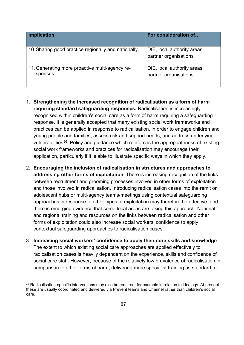| <b>Implication</b>                                         | For consideration of                                 |
|------------------------------------------------------------|------------------------------------------------------|
| 10. Sharing good practice regionally and nationally.       | DfE, local authority areas,<br>partner organisations |
| 11. Generating more proactive multi-agency re-<br>sponses. | DfE, local authority areas,<br>partner organisations |

- 1. **Strengthening the increased recognition of radicalisation as a form of harm requiring standard safeguarding responses.** Radicalisation is increasingly recognised within children's social care as a form of harm requiring a safeguarding response. It is generally accepted that many existing social work frameworks and practices can be applied in response to radicalisation, in order to engage children and young people and families, assess risk and support needs, and address underlying vulnerabilities<sup>36</sup>. Policy and guidance which reinforces the appropriateness of existing social work frameworks and practices for radicalisation may encourage their application, particularly if it is able to illustrate specific ways in which they apply.
- 2. **Encouraging the inclusion of radicalisation in structures and approaches to addressing other forms of exploitation**. There is increasing recognition of the links between recruitment and grooming processes involved in other forms of exploitation and those involved in radicalisation. Introducing radicalisation cases into the remit or adolescent hubs or multi-agency teams/meetings using contextual safeguarding approaches in response to other types of exploitation may therefore be effective, and there is emerging evidence that some local areas are taking this approach. National and regional training and resources on the links between radicalisation and other forms of exploitation could also increase social workers' confidence to apply contextual safeguarding approaches to radicalisation cases.
- 3. **Increasing social workers' confidence to apply their core skills and knowledge**. The extent to which existing social care approaches are applied effectively to radicalisation cases is heavily dependent on the experience, skills and confidence of social care staff. However, because of the relatively low prevalence of radicalisation in comparison to other forms of harm, delivering more specialist training as standard to

<span id="page-86-0"></span><sup>&</sup>lt;sup>36</sup> Radicalisation-specific interventions may also be required, for example in relation to ideology. At present these are usually coordinated and delivered via Prevent teams and Channel rather than children's social care.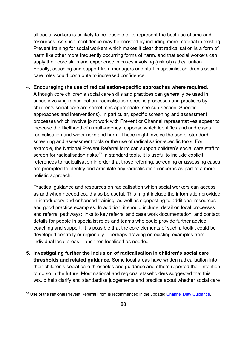all social workers is unlikely to be feasible or to represent the best use of time and resources. As such, confidence may be boosted by including more material in existing Prevent training for social workers which makes it clear that radicalisation is a form of harm like other more frequently occurring forms of harm, and that social workers can apply their core skills and experience in cases involving (risk of) radicalisation. Equally, coaching and support from managers and staff in specialist children's social care roles could contribute to increased confidence.

#### 4. **Encouraging the use of radicalisation-specific approaches where required.**

Although core children's social care skills and practices can generally be used in cases involving radicalisation, radicalisation-specific processes and practices by children's social care are sometimes appropriate (see sub-section: [Specific](#page-40-0)  [approaches and interventions\)](#page-40-0). In particular, specific screening and assessment processes which involve joint work with Prevent or Channel representatives appear to increase the likelihood of a multi-agency response which identifies and addresses radicalisation and wider risks and harm. These might involve the use of standard screening and assessment tools or the use of radicalisation-specific tools. For example, the National Prevent Referral form can support children's social care staff to screen for radicalisation risks.<sup>[37](#page-87-0)</sup> In standard tools, it is useful to include explicit references to radicalisation in order that those referring, screening or assessing cases are prompted to identify and articulate any radicalisation concerns as part of a more holistic approach.

Practical guidance and resources on radicalisation which social workers can access as and when needed could also be useful. This might include the information provided in introductory and enhanced training, as well as signposting to additional resources and good practice examples. In addition, it should include: detail on local processes and referral pathways; links to key referral and case work documentation; and contact details for people in specialist roles and teams who could provide further advice, coaching and support. It is possible that the core elements of such a toolkit could be developed centrally or regionally – perhaps drawing on existing examples from individual local areas – and then localised as needed.

5. **Investigating further the inclusion of radicalisation in children's social care thresholds and related guidance.** Some local areas have written radicalisation into their children's social care thresholds and guidance and others reported their intention to do so in the future. Most national and regional stakeholders suggested that this would help clarify and standardise judgements and practice about whether social care

<span id="page-87-0"></span><sup>&</sup>lt;sup>37</sup> Use of the National Prevent Referral From is recommended in the updated [Channel Duty Guidance.](https://assets.publishing.service.gov.uk/government/uploads/system/uploads/attachment_data/file/964567/6.6271_HO_HMG_Channel_Duty_Guidance_v14_Web.pdf)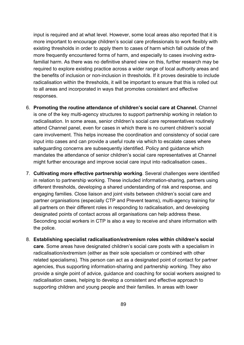input is required and at what level. However, some local areas also reported that it is more important to encourage children's social care professionals to work flexibly with existing thresholds in order to apply them to cases of harm which fall outside of the more frequently encountered forms of harm, and especially to cases involving extrafamilial harm. As there was no definitive shared view on this, further research may be required to explore existing practice across a wider range of local authority areas and the benefits of inclusion or non-inclusion in thresholds. If it proves desirable to include radicalisation within the thresholds, it will be important to ensure that this is rolled out to all areas and incorporated in ways that promotes consistent and effective responses.

- 6. **Promoting the routine attendance of children's social care at Channel.** Channel is one of the key multi-agency structures to support partnership working in relation to radicalisation. In some areas, senior children's social care representatives routinely attend Channel panel, even for cases in which there is no current children's social care involvement. This helps increase the coordination and consistency of social care input into cases and can provide a useful route via which to escalate cases where safeguarding concerns are subsequently identified. Policy and guidance which mandates the attendance of senior children's social care representatives at Channel might further encourage and improve social care input into radicalisation cases..
- 7. **Cultivating more effective partnership working**. Several challenges were identified in relation to partnership working. These included information-sharing, partners using different thresholds, developing a shared understanding of risk and response, and engaging families. Close liaison and joint visits between children's social care and partner organisations (especially CTP and Prevent teams), multi-agency training for all partners on their different roles in responding to radicalisation, and developing designated points of contact across all organisations can help address these. Seconding social workers in CTP is also a way to receive and share information with the police.
- 8. **Establishing specialist radicalisation/extremism roles within children's social care**. Some areas have designated children's social care posts with a specialism in radicalisation/extremism (either as their sole specialism or combined with other related specialisms). This person can act as a designated point of contact for partner agencies, thus supporting information-sharing and partnership working. They also provide a single point of advice, guidance and coaching for social workers assigned to radicalisation cases, helping to develop a consistent and effective approach to supporting children and young people and their families. In areas with lower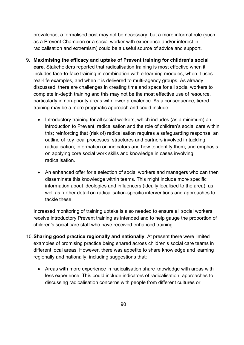prevalence, a formalised post may not be necessary, but a more informal role (such as a Prevent Champion or a social worker with experience and/or interest in radicalisation and extremism) could be a useful source of advice and support.

- 9. **Maximising the efficacy and uptake of Prevent training for children's social care**. Stakeholders reported that radicalisation training is most effective when it includes face-to-face training in combination with e-learning modules, when it uses real-life examples, and when it is delivered to multi-agency groups. As already discussed, there are challenges in creating time and space for all social workers to complete in-depth training and this may not be the most effective use of resource, particularly in non-priority areas with lower prevalence. As a consequence, tiered training may be a more pragmatic approach and could include:
	- Introductory training for all social workers, which includes (as a minimum) an introduction to Prevent, radicalisation and the role of children's social care within this; reinforcing that (risk of) radicalisation requires a safeguarding response; an outline of key local processes, structures and partners involved in tackling radicalisation; information on indicators and how to identify them; and emphasis on applying core social work skills and knowledge in cases involving radicalisation.
	- An enhanced offer for a selection of social workers and managers who can then disseminate this knowledge within teams. This might include more specific information about ideologies and influencers (ideally localised to the area), as well as further detail on radicalisation-specific interventions and approaches to tackle these.

Increased monitoring of training uptake is also needed to ensure all social workers receive introductory Prevent training as intended and to help gauge the proportion of children's social care staff who have received enhanced training.

- 10.**Sharing good practice regionally and nationally**. At present there were limited examples of promising practice being shared across children's social care teams in different local areas. However, there was appetite to share knowledge and learning regionally and nationally, including suggestions that:
	- Areas with more experience in radicalisation share knowledge with areas with less experience. This could include indicators of radicalisation, approaches to discussing radicalisation concerns with people from different cultures or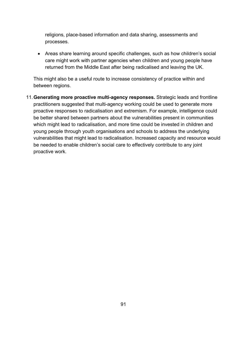religions, place-based information and data sharing, assessments and processes.

• Areas share learning around specific challenges, such as how children's social care might work with partner agencies when children and young people have returned from the Middle East after being radicalised and leaving the UK.

This might also be a useful route to increase consistency of practice within and between regions.

11.**Generating more proactive multi-agency responses.** Strategic leads and frontline practitioners suggested that multi-agency working could be used to generate more proactive responses to radicalisation and extremism. For example, intelligence could be better shared between partners about the vulnerabilities present in communities which might lead to radicalisation, and more time could be invested in children and young people through youth organisations and schools to address the underlying vulnerabilities that might lead to radicalisation. Increased capacity and resource would be needed to enable children's social care to effectively contribute to any joint proactive work.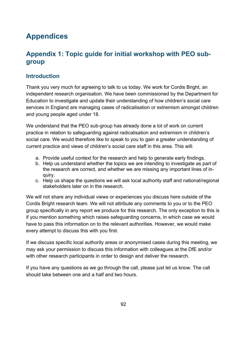# **Appendices**

## **Appendix 1: Topic guide for initial workshop with PEO subgroup**

## **Introduction**

Thank you very much for agreeing to talk to us today. We work for Cordis Bright, an independent research organisation. We have been commissioned by the Department for Education to investigate and update their understanding of how children's social care services in England are managing cases of radicalisation or extremism amongst children and young people aged under 18.

We understand that the PEO sub-group has already done a lot of work on current practice in relation to safeguarding against radicalisation and extremism in children's social care. We would therefore like to speak to you to gain a greater understanding of current practice and views of children's social care staff in this area. This will:

- a. Provide useful context for the research and help to generate early findings.
- b. Help us understand whether the topics we are intending to investigate as part of the research are correct, and whether we are missing any important lines of inquiry.
- c. Help us shape the questions we will ask local authority staff and national/regional stakeholders later on in the research.

We will not share any individual views or experiences you discuss here outside of the Cordis Bright research team. We will not attribute any comments to you or to the PEO group specifically in any report we produce for this research. The only exception to this is if you mention something which raises safeguarding concerns, in which case we would have to pass this information on to the relevant authorities. However, we would make every attempt to discuss this with you first.

If we discuss specific local authority areas or anonymised cases during this meeting, we may ask your permission to discuss this information with colleagues at the DfE and/or with other research participants in order to design and deliver the research.

If you have any questions as we go through the call, please just let us know. The call should take between one and a half and two hours.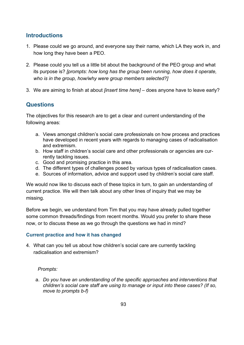## **Introductions**

- 1. Please could we go around, and everyone say their name, which LA they work in, and how long they have been a PEO.
- 2. Please could you tell us a little bit about the background of the PEO group and what its purpose is? *[prompts: how long has the group been running, how does it operate, who is in the group, how/why were group members selected?]*
- 3. We are aiming to finish at about *[insert time here] –* does anyone have to leave early?

### **Questions**

The objectives for this research are to get a clear and current understanding of the following areas:

- a. Views amongst children's social care professionals on how process and practices have developed in recent years with regards to managing cases of radicalisation and extremism.
- b. How staff in children's social care and other professionals or agencies are currently tackling issues.
- c. Good and promising practice in this area.
- d. The different types of challenges posed by various types of radicalisation cases.
- e. Sources of information, advice and support used by children's social care staff.

We would now like to discuss each of these topics in turn, to gain an understanding of current practice. We will then talk about any other lines of inquiry that we may be missing.

Before we begin, we understand from Tim that you may have already pulled together some common threads/findings from recent months. Would you prefer to share these now, or to discuss these as we go through the questions we had in mind?

#### **Current practice and how it has changed**

4. What can you tell us about how children's social care are currently tackling radicalisation and extremism?

#### *Prompts:*

a. *Do you have an understanding of the specific approaches and interventions that children's social care staff are using to manage or input into these cases? (If so, move to prompts b-f)*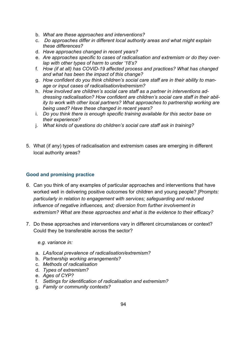- b. *What are these approaches and interventions?*
- c. *Do approaches differ in different local authority areas and what might explain these differences?*
- d. *Have approaches changed in recent years?*
- e. *Are approaches specific to cases of radicalisation and extremism or do they overlap with other types of harm to under '18's?*
- f. *How (if at all) has COVID-19 affected process and practices? What has changed and what has been the impact of this change?*
- g. *How confident do you think children's social care staff are in their ability to manage or input cases of radicalisation/extremism?*
- h. *How involved are children's social care staff as a partner in interventions addressing radicalisation? How confident are children's social care staff in their ability to work with other local partners? What approaches to partnership working are being used? Have these changed in recent years?*
- i. *Do you think there is enough specific training available for this sector base on their experience?*
- j. *What kinds of questions do children's social care staff ask in training?*
- 5. What (if any) types of radicalisation and extremism cases are emerging in different local authority areas?

#### **Good and promising practice**

- 6. Can you think of any examples of particular approaches and interventions that have worked well in delivering positive outcomes for children and young people? *[Prompts: particularly in relation to engagement with services; safeguarding and reduced influence of negative influences, and; diversion from further involvement in extremism? What are these approaches and what is the evidence to their efficacy?*
- 7. Do these approaches and interventions vary in different circumstances or context? Could they be transferable across the sector?

*e.g. variance in:*

- a. *LAs/local prevalence of radicalisation/extremism?*
- b. *Partnership working arrangements?*
- c. *Methods of radicalisation*
- d. *Types of extremism?*
- e. *Ages of CYP?*
- f. *Settings for identification of radicalisation and extremism?*
- g. *Family or community contexts?*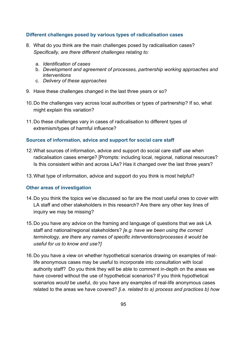#### **Different challenges posed by various types of radicalisation cases**

- 8. What do you think are the main challenges posed by radicalisation cases? *Specifically, are there different challenges relating to:*
	- a. *Identification of cases*
	- b. *Development and agreement of processes, partnership working approaches and interventions*
	- c. *Delivery of these approaches*
- 9. Have these challenges changed in the last three years or so?
- 10.Do the challenges vary across local authorities or types of partnership? If so, what might explain this variation?
- 11.Do these challenges vary in cases of radicalisation to different types of extremism/types of harmful influence?

#### **Sources of information, advice and support for social care staff**

- 12.What sources of information, advice and support do social care staff use when radicalisation cases emerge? [Prompts: including local, regional, national resources? Is this consistent within and across LAs? Has it changed over the last three years?
- 13.What type of information, advice and support do you think is most helpful?

#### **Other areas of investigation**

- 14.Do you think the topics we've discussed so far are the most useful ones to cover with LA staff and other stakeholders in this research? Are there any other key lines of inquiry we may be missing?
- 15.Do you have any advice on the framing and language of questions that we ask LA staff and national/regional stakeholders? *[e.g. have we been using the correct terminology, are there any names of specific interventions/processes it would be useful for us to know and use?]*
- 16.Do you have a view on whether hypothetical scenarios drawing on examples of reallife anonymous cases may be useful to incorporate into consultation with local authority staff? Do you think they will be able to comment in-depth on the areas we have covered without the use of hypothetical scenarios? If you think hypothetical scenarios *would* be useful, do you have any examples of real-life anonymous cases related to the areas we have covered? *[i.e. related to a) process and practices b) how*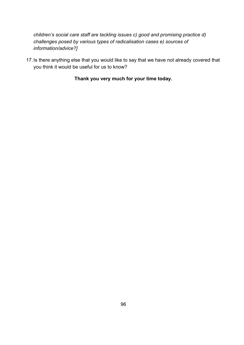*children's social care staff are tackling issues c) good and promising practice d) challenges posed by various types of radicalisation cases e) sources of information/advice?]*

17.Is there anything else that you would like to say that we have not already covered that you think it would be useful for us to know?

**Thank you very much for your time today.**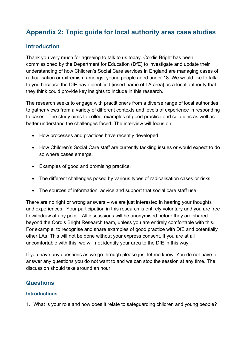## **Appendix 2: Topic guide for local authority area case studies**

## **Introduction**

Thank you very much for agreeing to talk to us today. Cordis Bright has been commissioned by the Department for Education (DfE) to investigate and update their understanding of how Children's Social Care services in England are managing cases of radicalisation or extremism amongst young people aged under 18. We would like to talk to you because the DfE have identified [insert name of LA area] as a local authority that they think could provide key insights to include in this research.

The research seeks to engage with practitioners from a diverse range of local authorities to gather views from a variety of different contexts and levels of experience in responding to cases. The study aims to collect examples of good practice and solutions as well as better understand the challenges faced. The interview will focus on:

- How processes and practices have recently developed.
- How Children's Social Care staff are currently tackling issues or would expect to do so where cases emerge.
- Examples of good and promising practice.
- The different challenges posed by various types of radicalisation cases or risks.
- The sources of information, advice and support that social care staff use.

There are no right or wrong answers – we are just interested in hearing your thoughts and experiences. Your participation in this research is entirely voluntary and you are free to withdraw at any point. All discussions will be anonymised before they are shared beyond the Cordis Bright Research team, unless you are entirely comfortable with this. For example, to recognise and share examples of good practice with DfE and potentially other LAs. This will not be done without your express consent. If you are at all uncomfortable with this, we will not identify your area to the DfE in this way.

If you have any questions as we go through please just let me know. You do not have to answer any questions you do not want to and we can stop the session at any time. The discussion should take around an hour.

### **Questions**

#### **Introductions**

1. What is your role and how does it relate to safeguarding children and young people?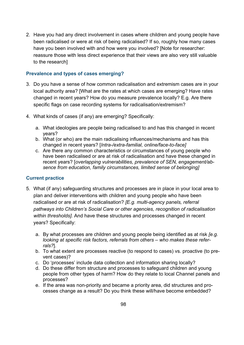2. Have you had any direct involvement in cases where children and young people have been radicalised or were at risk of being radicalised? If so, roughly how many cases have you been involved with and how were you involved? [Note for researcher: reassure those with less direct experience that their views are also very still valuable to the research]

#### **Prevalence and types of cases emerging?**

- 3. Do you have a sense of how common radicalisation and extremism cases are in your local authority area? [What are the rates at which cases are emerging? Have rates changed in recent years? How do you measure prevalence locally? E.g. Are there specific flags on case recording systems for radicalisation/extremism?
- 4. What kinds of cases (if any) are emerging? Specifically:
	- a. What ideologies are people being radicalised to and has this changed in recent years?
	- b. What (or who) are the main radicalising influences/mechanisms and has this changed in recent years? [*Intra-/extra-familial, online/face-to-face]*
	- c. Are there any common characteristics or circumstances of young people who have been radicalised or are at risk of radicalisation and have these changed in recent years? [*overlapping vulnerabilities, prevalence of SEN, engagement/absence from education, family circumstances, limited sense of belonging]*

#### **Current practice**

- 5. What (if any) safeguarding structures and processes are in place in your local area to plan and deliver interventions with children and young people who have been radicalised or are at risk of radicalisation? *[E.g. multi-agency panels, referral pathways into Children's Social Care or other agencies, recognition of radicalisation within thresholds].* And have these structures and processes changed in recent years? Specifically:
	- a. By what processes are children and young people being identified as at risk *[e.g. looking at specific risk factors, referrals from others – who makes these referrals?*].
	- b. To what extent are processes reactive (to respond to cases) vs. proactive (to prevent cases)?
	- c. Do 'processes' include data collection and information sharing locally?
	- d. Do these differ from structure and processes to safeguard children and young people from other types of harm? How do they relate to local Channel panels and processes?
	- e. If the area was non-priority and became a priority area, did structures and processes change as a result? Do you think these will/have become embedded?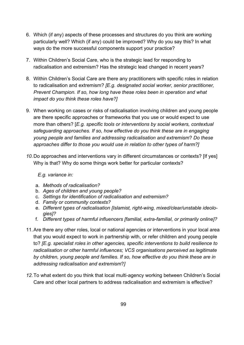- 6. Which (if any) aspects of these processes and structures do you think are working particularly well? Which (if any) could be improved? Why do you say this? In what ways do the more successful components support your practice?
- 7. Within Children's Social Care, who is the strategic lead for responding to radicalisation and extremism? Has the strategic lead changed in recent years?
- 8. Within Children's Social Care are there any practitioners with specific roles in relation to radicalisation and extremism? *[E.g. designated social worker, senior practitioner, Prevent Champion. If so, how long have these roles been in operation and what impact do you think these roles have?]*
- 9. When working on cases or risks of radicalisation involving children and young people are there specific approaches or frameworks that you use or would expect to use more than others? [*E.g. specific tools or interventions by social workers, contextual safeguarding approaches. If so, how effective do you think these are in engaging young people and families and addressing radicalisation and extremism*? *Do these approaches differ to those you would use in relation to other types of harm?]*
- *10.*Do approaches and interventions vary in different circumstances or contexts? [If yes] Why is that? Why do some things work better for particular contexts?

*E.g. variance in:*

- a. *Methods of radicalisation?*
- b. *Ages of children and young people?*
- c. *Settings for identification of radicalisation and extremism?*
- d. *Family or community contexts?*
- e. *Different types of radicalisation [Islamist, right-wing, mixed/clear/unstable ideologies]?*
- f. *Different types of harmful influencers [familial, extra-familial, or primarily online]?*
- 11.Are there any other roles, local or national agencies or interventions in your local area that you would expect to work in partnership with, or refer children and young people to? *[E.g. specialist roles in other agencies, specific interventions to build resilience to radicalisation or other harmful influences; VCS organisations perceived as legitimate by children, young people and families. If so, how effective do you think these are in addressing radicalisation and extremism*?*]*
- *12.*To what extent do you think that local multi-agency working between Children's Social Care and other local partners to address radicalisation and extremism is effective?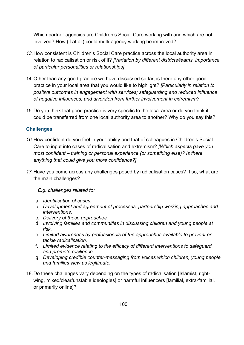Which partner agencies are Children's Social Care working with and which are not involved? How (if at all) could multi-agency working be improved?

- *13.*How consistent is Children's Social Care practice across the local authority area in relation to radicalisation or risk of it? *[Variation by different districts/teams, importance of particular personalities or relationships]*
- 14.Other than any good practice we have discussed so far, is there any other good practice in your local area that you would like to highlight? *[Particularly in relation to positive outcomes in engagement with services; safeguarding and reduced influence of negative influences, and diversion from further involvement in extremism?*
- 15.Do you think that good practice is very specific to the local area or do you think it could be transferred from one local authority area to another? Why do you say this?

#### **Challenges**

- *16.*How confident do you feel in your ability and that of colleagues in Children's Social Care to input into cases of radicalisation and extremism? *[Which aspects gave you most confident – training or personal experience (or something else)? Is there anything that could give you more confidence?]*
- *17.*Have you come across any challenges posed by radicalisation cases? If so, what are the main challenges?

*E.g. challenges related to:*

- a. *Identification of cases.*
- b. *Development and agreement of processes, partnership working approaches and interventions.*
- c. *Delivery of these approaches.*
- d. *Involving families and communities in discussing children and young people at risk.*
- e. *Limited awareness by professionals of the approaches available to prevent or tackle radicalisation.*
- f. *Limited evidence relating to the efficacy of different interventions to safeguard and promote resilience.*
- g. *Developing credible counter-messaging from voices which children, young people and families view as legitimate.*
- 18.Do these challenges vary depending on the types of radicalisation [Islamist, rightwing, mixed/clear/unstable ideologies] or harmful influencers [familial, extra-familial, or primarily online]?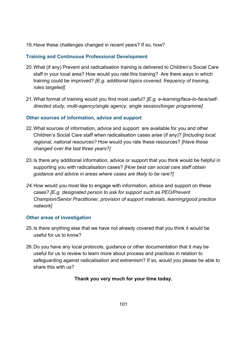19.Have these challenges changed in recent years? If so, how?

#### **Training and Continuous Professional Development**

- 20.What (if any) Prevent and radicalisation training is delivered to Children's Social Care staff in your local area? How would you rate this training? Are there ways in which training could be improved? *[E.g. additional topics covered, frequency of training, roles targeted]*
- 21.What format of training would you find most useful? *[E.g. e-learning/face-to-face/selfdirected study, multi-agency/single agency, single session/longer programme]*

#### **Other sources of information, advice and support**

- 22.What sources of information, advice and support are available for you and other Children's Social Care staff when radicalisation cases arise (if any)? *[Including local, regional, national resources?* How would you rate these resources? *[Have these changed over the last three years?]*
- 23.Is there any additional information, advice or support that you think would be helpful in supporting you with radicalisation cases? *[How best can social care staff obtain guidance and advice in areas where cases are likely to be rare?]*
- *24.*How would you most like to engage with information, advice and support on these cases? *[E.g. designated person to ask for support such as PEO/Prevent Champion/Senior Practitioner, provision of support materials, learning/good practice network]*

#### **Other areas of investigation**

- 25.Is there anything else that we have not already covered that you think it would be useful for us to know?
- 26.Do you have any local protocols, guidance or other documentation that it may be useful for us to review to learn more about process and practices in relation to safeguarding against radicalisation and extremism? If so, would you please be able to share this with us?

#### **Thank you very much for your time today.**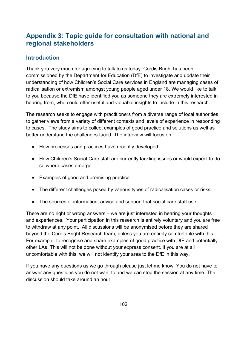## **Appendix 3: Topic guide for consultation with national and regional stakeholders**

## **Introduction**

Thank you very much for agreeing to talk to us today. Cordis Bright has been commissioned by the Department for Education (DfE) to investigate and update their understanding of how Children's Social Care services in England are managing cases of radicalisation or extremism amongst young people aged under 18. We would like to talk to you because the DfE have identified you as someone they are extremely interested in hearing from, who could offer useful and valuable insights to include in this research.

The research seeks to engage with practitioners from a diverse range of local authorities to gather views from a variety of different contexts and levels of experience in responding to cases. The study aims to collect examples of good practice and solutions as well as better understand the challenges faced. The interview will focus on:

- How processes and practices have recently developed.
- How Children's Social Care staff are currently tackling issues or would expect to do so where cases emerge.
- Examples of good and promising practice.
- The different challenges posed by various types of radicalisation cases or risks.
- The sources of information, advice and support that social care staff use.

There are no right or wrong answers – we are just interested in hearing your thoughts and experiences. Your participation in this research is entirely voluntary and you are free to withdraw at any point. All discussions will be anonymised before they are shared beyond the Cordis Bright Research team, unless you are entirely comfortable with this. For example, to recognise and share examples of good practice with DfE and potentially other LAs. This will not be done without your express consent. If you are at all uncomfortable with this, we will not identify your area to the DfE in this way.

If you have any questions as we go through please just let me know. You do not have to answer any questions you do not want to and we can stop the session at any time. The discussion should take around an hour.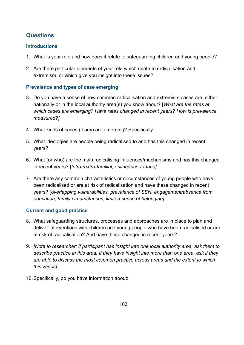## **Questions**

#### **Introductions**

- 1. What is your role and how does it relate to safeguarding children and young people?
- 2. Are there particular elements of your role which relate to radicalisation and extremism, or which give you insight into these issues?

#### **Prevalence and types of case emerging**

- 3. Do you have a sense of how common radicalisation and extremism cases are, either nationally or in the local authority area(s) you know about? [*What are the rates at which cases are emerging? Have rates changed in recent years? How is prevalence measured?]*
- 4. What kinds of cases (if any) are emerging? Specifically:
- 5. What ideologies are people being radicalised to and has this changed in recent years?
- 6. What (or who) are the main radicalising influences/mechanisms and has this changed in recent years? [*Intra-/extra-familial, online/face-to-face]*
- 7. Are there any common characteristics or circumstances of young people who have been radicalised or are at risk of radicalisation and have these changed in recent years? [*overlapping vulnerabilities, prevalence of SEN, engagement/absence from education, family circumstances, limited sense of belonging]*

#### **Current and good practice**

- 8. What safeguarding structures, processes and approaches are in place to plan and deliver interventions with children and young people who have been radicalised or are at risk of radicalisation? And have these changed in recent years?
- 9. *[Note to researcher: if participant has insight into one local authority area, ask them to describe practice in this area. If they have insight into more than one area, ask if they are able to discuss the most common practice across areas and the extent to which this varies].*
- 10.Specifically, do you have information about: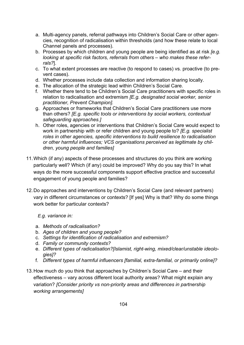- a. Multi-agency panels, referral pathways into Children's Social Care or other agencies, recognition of radicalisation within thresholds (and how these relate to local Channel panels and processes).
- b. Processes by which children and young people are being identified as at risk *[e.g. looking at specific risk factors, referrals from others – who makes these referrals?*].
- c. To what extent processes are reactive (to respond to cases) vs. proactive (to prevent cases).
- d. Whether processes include data collection and information sharing locally.
- e. The allocation of the strategic lead within Children's Social Care.
- f. Whether there tend to be Children's Social Care practitioners with specific roles in relation to radicalisation and extremism *[E.g. designated social worker, senior practitioner, Prevent Champion].*
- g. Approaches or frameworks that Children's Social Care practitioners use more than others? *[E.g. specific tools or interventions by social workers, contextual safeguarding approaches.]*
- h. Other roles, agencies or interventions that Children's Social Care would expect to work in partnership with or refer children and young people to? *[E.g. specialist roles in other agencies, specific interventions to build resilience to radicalisation or other harmful influences; VCS organisations perceived as legitimate by children, young people and families]*
- 11.Which (if any) aspects of these processes and structures do you think are working particularly well? Which (if any) could be improved? Why do you say this? In what ways do the more successful components support effective practice and successful engagement of young people and families?
- 12.Do approaches and interventions by Children's Social Care (and relevant partners) vary in different circumstances or contexts? [If yes] Why is that? Why do some things work better for particular contexts?

*E.g. variance in:*

- a. *Methods of radicalisation?*
- b. *Ages of children and young people?*
- c. *Settings for identification of radicalisation and extremism?*
- d. *Family or community contexts?*
- e. *Different types of radicalisation?[Islamist, right-wing, mixed/clear/unstable ideologies]?*
- f. *Different types of harmful influencers [familial, extra-familial, or primarily online]?*
- 13.How much do you think that approaches by Children's Social Care and their effectiveness – vary across different local authority areas? What might explain any variation? *[Consider priority vs non-priority areas and differences in partnership working arrangements]*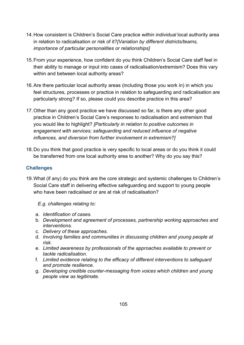- 14.How consistent is Children's Social Care practice *within individual* local authority area in relation to radicalisation or risk of it?*[Variation by different districts/teams, importance of particular personalities or relationships]*
- 15.From your experience, how confident do you think Children's Social Care staff feel in their ability to manage or input into cases of radicalisation/extremism? Does this vary within and between local authority areas?
- 16.Are there particular local authority areas (including those you work in) in which you feel structures, processes or practice in relation to safeguarding and radicalisation are particularly strong? If so, please could you describe practice in this area?
- 17.Other than any good practice we have discussed so far, is there any other good practice in Children's Social Care's responses to radicalisation and extremism that you would like to highlight? *[Particularly in relation to positive outcomes in engagement with services; safeguarding and reduced influence of negative influences, and diversion from further involvement in extremism?]*
- 18.Do you think that good practice is very specific to local areas or do you think it could be transferred from one local authority area to another? Why do you say this?

#### **Challenges**

19.What (if any) do you think are the core strategic and systemic challenges to Children's Social Care staff in delivering effective safeguarding and support to young people who have been radicalised or are at risk of radicalisation?

*E.g. challenges relating to:*

- a. *Identification of cases.*
- b. *Development and agreement of processes, partnership working approaches and interventions.*
- c. *Delivery of these approaches.*
- d. *Involving families and communities in discussing children and young people at risk.*
- e. *Limited awareness by professionals of the approaches available to prevent or tackle radicalisation.*
- f. *Limited evidence relating to the efficacy of different interventions to safeguard and promote resilience.*
- g. *Developing credible counter-messaging from voices which children and young people view as legitimate.*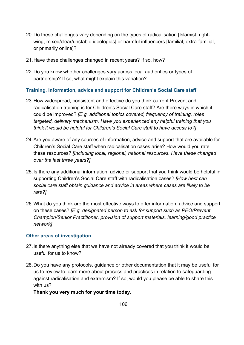- 20.Do these challenges vary depending on the types of radicalisation [Islamist, rightwing, mixed/clear/unstable ideologies] or harmful influencers [familial, extra-familial, or primarily online]?
- 21.Have these challenges changed in recent years? If so, how?
- 22.Do you know whether challenges vary across local authorities or types of partnership? If so, what might explain this variation?

#### **Training, information, advice and support for Children's Social Care staff**

- 23.How widespread, consistent and effective do you think current Prevent and radicalisation training is for Children's Social Care staff? Are there ways in which it could be improved? *[E.g. additional topics covered, frequency of training, roles targeted, delivery mechanism. Have you experienced any helpful training that you think it would be helpful for Children's Social Care staff to have access to?]*
- 24.Are you aware of any sources of information, advice and support that are available for Children's Social Care staff when radicalisation cases arise? How would you rate these resources? *[Including local, regional, national resources. Have these changed over the last three years?]*
- 25.Is there any additional information, advice or support that you think would be helpful in supporting Children's Social Care staff with radicalisation cases? *[How best can social care staff obtain guidance and advice in areas where cases are likely to be rare?]*
- 26.What do you think are the most effective ways to offer information, advice and support on these cases? *[E.g. designated person to ask for support such as PEO/Prevent Champion/Senior Practitioner, provision of support materials, learning/good practice network]*

#### **Other areas of investigation**

- 27.Is there anything else that we have not already covered that you think it would be useful for us to know?
- 28.Do you have any protocols, guidance or other documentation that it may be useful for us to review to learn more about process and practices in relation to safeguarding against radicalisation and extremism? If so, would you please be able to share this with us?

#### **Thank you very much for your time today**.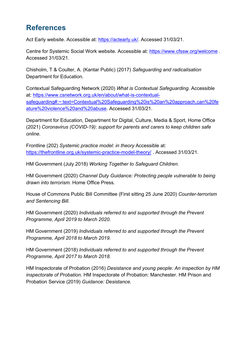# **References**

Act Early website. Accessible at: [https://actearly.uk/.](https://actearly.uk/) Accessed 31/03/21.

Centre for Systemic Social Work website. Accessible at:<https://www.cfssw.org/welcome> . Accessed 31/03/21.

Chisholm, T & Coulter, A. (Kantar Public) (2017) *Safeguarding and radicalisation* Department for Education.

Contextual Safeguarding Network (2020) *What is Contextual Safeguarding.* Accessible at: [https://www.csnetwork.org.uk/en/about/what-is-contextual](https://www.csnetwork.org.uk/en/about/what-is-contextual-safeguarding#:%7E:text=Contextual%20Safeguarding%20is%20an%20approach,can%20feature%20violence%20and%20abuse)[safeguarding#:~:text=Contextual%20Safeguarding%20is%20an%20approach,can%20fe](https://www.csnetwork.org.uk/en/about/what-is-contextual-safeguarding#:%7E:text=Contextual%20Safeguarding%20is%20an%20approach,can%20feature%20violence%20and%20abuse) [ature%20violence%20and%20abuse.](https://www.csnetwork.org.uk/en/about/what-is-contextual-safeguarding#:%7E:text=Contextual%20Safeguarding%20is%20an%20approach,can%20feature%20violence%20and%20abuse) Accessed 31/03/21.

Department for Education, Department for Digital, Culture, Media & Sport, Home Office (2021) *Coronavirus (COVID-19): support for parents and carers to keep children safe online.* 

Frontline (202) *Systemic practice model: in theory* Accessible at: <https://thefrontline.org.uk/systemic-practice-model-theory/> . Accessed 31/03/21.

HM Government (July 2018) *Working Together to Safeguard Children.* 

HM Government (2020) *Channel Duty Guidance: Protecting people vulnerable to being drawn into terrorism.* Home Office Press.

House of Commons Public Bill Committee (First sitting 25 June 2020) *Counter-terrorism and Sentencing Bill.*

HM Government (2020) *Individuals referred to and supported through the Prevent Programme, April 2019 to March 2020.* 

HM Government (2019) *Individuals referred to and supported through the Prevent Programme, April 2018 to March 2019.* 

HM Government (2018) *Individuals referred to and supported through the Prevent Programme, April 2017 to March 2018.*

HM Inspectorate of Probation (2016) *Desistance and young people: An inspection by HM inspectorate of Probation.* HM Inspectorate of Probation: Manchester. HM Prison and Probation Service (2019) *Guidance: Desistance.*